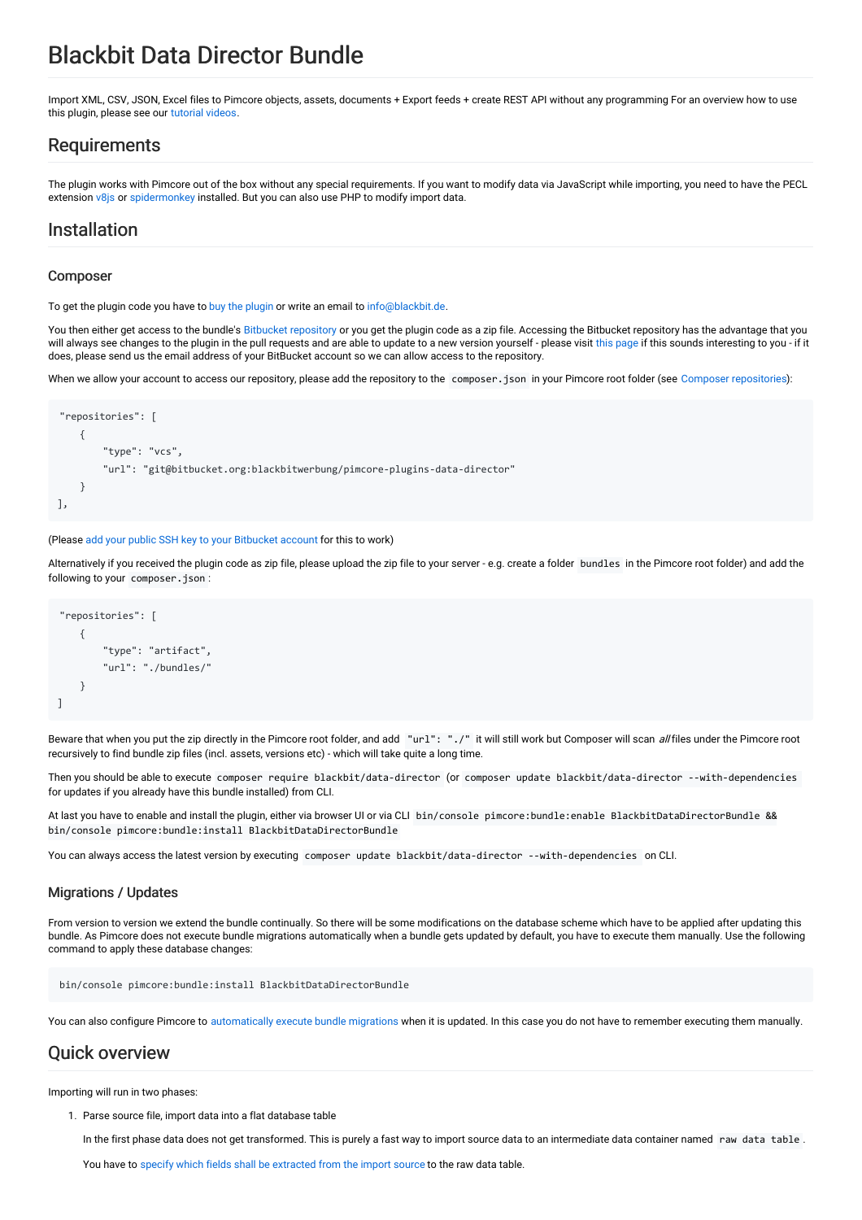# Blackbit Data Director Bundle

Import XML, CSV, JSON, Excel files to Pimcore objects, assets, documents + Export feeds + create REST API without any programming For an overview how to use this plugin, please see our [tutorial](https://www.youtube.com/playlist?list=PL4-QRNfdsdKIfzQIP-c9hRruXf0r48fjt) videos.

### Requirements

The plugin works with Pimcore out of the box without any special requirements. If you want to modify data via JavaScript while importing, you need to have the PECL extension [v8js](https://pecl.php.net/package/v8js) or [spidermonkey](https://pecl.php.net/package/spidermonkey) installed. But you can also use PHP to modify import data.

### Installation

#### Composer

To get the [plugin](https://shop.blackbit.de/de/pimcore-data-director) code you have to buy the plugin or write an email to [info@blackbit.de.](mailto:info@blackbit.de)

You then either get access to the bundle's Bitbucket [repository](https://bitbucket.org/blackbitwerbung/pimcore-plugins-data-director) or you get the plugin code as a zip file. Accessing the Bitbucket repository has the advantage that you will always see changes to the plugin in the pull requests and are able to update to a new version yourself - please visit this [page](https://shop.blackbit.de/de/service-xt-commerce/bitbucket-zugriff-xt-commerce-plugin-entwicklung) if this sounds interesting to you - if it does, please send us the email address of your BitBucket account so we can allow access to the repository.

When we allow your account to access our repository, please add the repository to the composer . json in your Pimcore root folder (see Composer [repositories](https://getcomposer.org/doc/05-repositories.md#vcs)):

```
"repositories": [
    {
        "type": "vcs",
        "url": "git@bitbucket.org:blackbitwerbung/pimcore-plugins-data-director"
    }
],
```
#### (Please add your public SSH key to your [Bitbucket](https://support.atlassian.com/bitbucket-cloud/docs/add-access-keys/#Step-3.-Add-the-public-key-to-your-repository) account for this to work)

Alternatively if you received the plugin code as zip file, please upload the zip file to your server - e.g. create a folder bundles in the Pimcore root folder) and add the following to your composer.json :

```
"repositories": [
    {
        "type": "artifact",
         "url": "./bundles/"
    }
]
```
Beware that when you put the zip directly in the Pimcore root folder, and add "url": "./" it will still work but Composer will scan all files under the Pimcore root recursively to find bundle zip files (incl. assets, versions etc) - which will take quite a long time.

Then you should be able to execute composer require blackbit/data-director (or composer update blackbit/data-director --with-dependencies for updates if you already have this bundle installed) from CLI.

At last you have to enable and install the plugin, either via browser UI or via CLI bin/console pimcore:bundle:enable BlackbitDataDirectorBundle && bin/console pimcore:bundle:install BlackbitDataDirectorBundle

You can always access the latest version by executing composer update blackbit/data-director --with-dependencies on CLI.

#### Migrations / Updates

From version to version we extend the bundle continually. So there will be some modifications on the database scheme which have to be applied after updating this bundle. As Pimcore does not execute bundle migrations automatically when a bundle gets updated by default, you have to execute them manually. Use the following command to apply these database changes:

```
bin/console pimcore:bundle:install BlackbitDataDirectorBundle
```
You can also configure Pimcore to [automatically](https://pimcore.com/docs/latest/Development_Documentation/Extending_Pimcore/Bundle_Developers_Guide/Pimcore_Bundles/Installers.html#page_Automatic-migration-on-updating-bundle) execute bundle migrations when it is updated. In this case you do not have to remember executing them manually.

### Quick overview

Importing will run in two phases:

1. Parse source file, import data into a flat database table

In the first phase data does not get transformed. This is purely a fast way to import source data to an intermediate data container named raw data table.

You have to specify which fields shall be [extracted](#page-4-0) from the import source to the raw data table.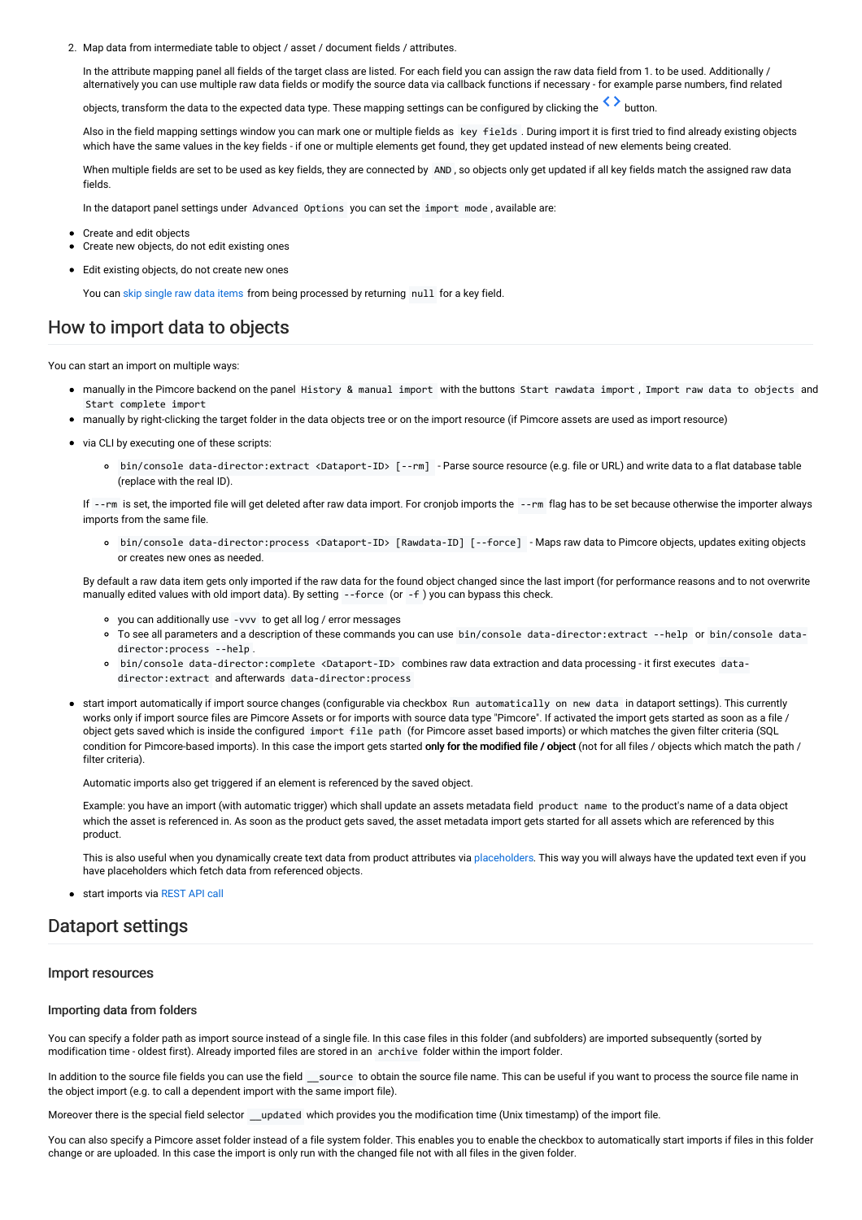2. Map data from intermediate table to object / asset / document fields / attributes.

In the attribute mapping panel all fields of the target class are listed. For each field you can assign the raw data field from 1. to be used. Additionally / alternatively you can use multiple raw data fields or modify the source data via callback functions if necessary - for example parse numbers, find related

objects, transform the data to the expected data type. These mapping settings can be configured by clicking the  $\leftrightarrow$  button.

Also in the field mapping settings window you can mark one or multiple fields as key fields . During import it is first tried to find already existing objects which have the same values in the key fields - if one or multiple elements get found, they get updated instead of new elements being created.

When multiple fields are set to be used as key fields, they are connected by AND , so objects only get updated if all key fields match the assigned raw data fields.

In the dataport panel settings under Advanced Options you can set the import mode , available are:

- Create and edit objects
- Create new objects, do not edit existing ones
- Edit existing objects, do not create new ones

You can skip [single](#page-5-0) raw data items from being processed by returning null for a key field.

### How to import data to objects

You can start an import on multiple ways:

- manually in the Pimcore backend on the panel History & manual import with the buttons Start rawdata import , Import raw data to objects and Start complete import
- manually by right-clicking the target folder in the data objects tree or on the import resource (if Pimcore assets are used as import resource)
- via CLI by executing one of these scripts:
	- bin/console data-director:extract <Dataport-ID> [--rm] Parse source resource (e.g. file or URL) and write data to a flat database table (replace with the real ID).

If --rm is set, the imported file will get deleted after raw data import. For cronjob imports the --rm flag has to be set because otherwise the importer always imports from the same file.

bin/console data-director:process <Dataport-ID> [Rawdata-ID] [--force] - Maps raw data to Pimcore objects, updates exiting objects or creates new ones as needed.

By default a raw data item gets only imported if the raw data for the found object changed since the last import (for performance reasons and to not overwrite manually edited values with old import data). By setting --force (or -f ) you can bypass this check.

- you can additionally use -vvv to get all log / error messages
- To see all parameters and a description of these commands you can use bin/console data-director:extract --help or bin/console datadirector:process --help .
- bin/console data-director:complete <Dataport-ID> combines raw data extraction and data processing it first executes datadirector:extract and afterwards data-director:process
- start import automatically if import source changes (configurable via checkbox Run automatically on new data in dataport settings). This currently works only if import source files are Pimcore Assets or for imports with source data type "Pimcore". If activated the import gets started as soon as a file / object gets saved which is inside the configured import file path (for Pimcore asset based imports) or which matches the given filter criteria (SQL condition for Pimcore-based imports). In this case the import gets started only for the modified file / object (not for all files / objects which match the path / filter criteria).

Automatic imports also get triggered if an element is referenced by the saved object.

Example: you have an import (with automatic trigger) which shall update an assets metadata field product name to the product's name of a data object which the asset is referenced in. As soon as the product gets saved, the asset metadata import gets started for all assets which are referenced by this product.

This is also useful when you dynamically create text data from product attributes via [placeholders](#page-18-0). This way you will always have the updated text even if you have placeholders which fetch data from referenced objects.

start imports via [REST](#page-25-0) API call

### Dataport settings

#### Import resources

#### Importing data from folders

You can specify a folder path as import source instead of a single file. In this case files in this folder (and subfolders) are imported subsequently (sorted by modification time - oldest first). Already imported files are stored in an archive folder within the import folder.

In addition to the source file fields you can use the field \_\_source to obtain the source file name. This can be useful if you want to process the source file name in the object import (e.g. to call a dependent import with the same import file).

Moreover there is the special field selector \_\_updated which provides you the modification time (Unix timestamp) of the import file.

You can also specify a Pimcore asset folder instead of a file system folder. This enables you to enable the checkbox to automatically start imports if files in this folder change or are uploaded. In this case the import is only run with the changed file not with all files in the given folder.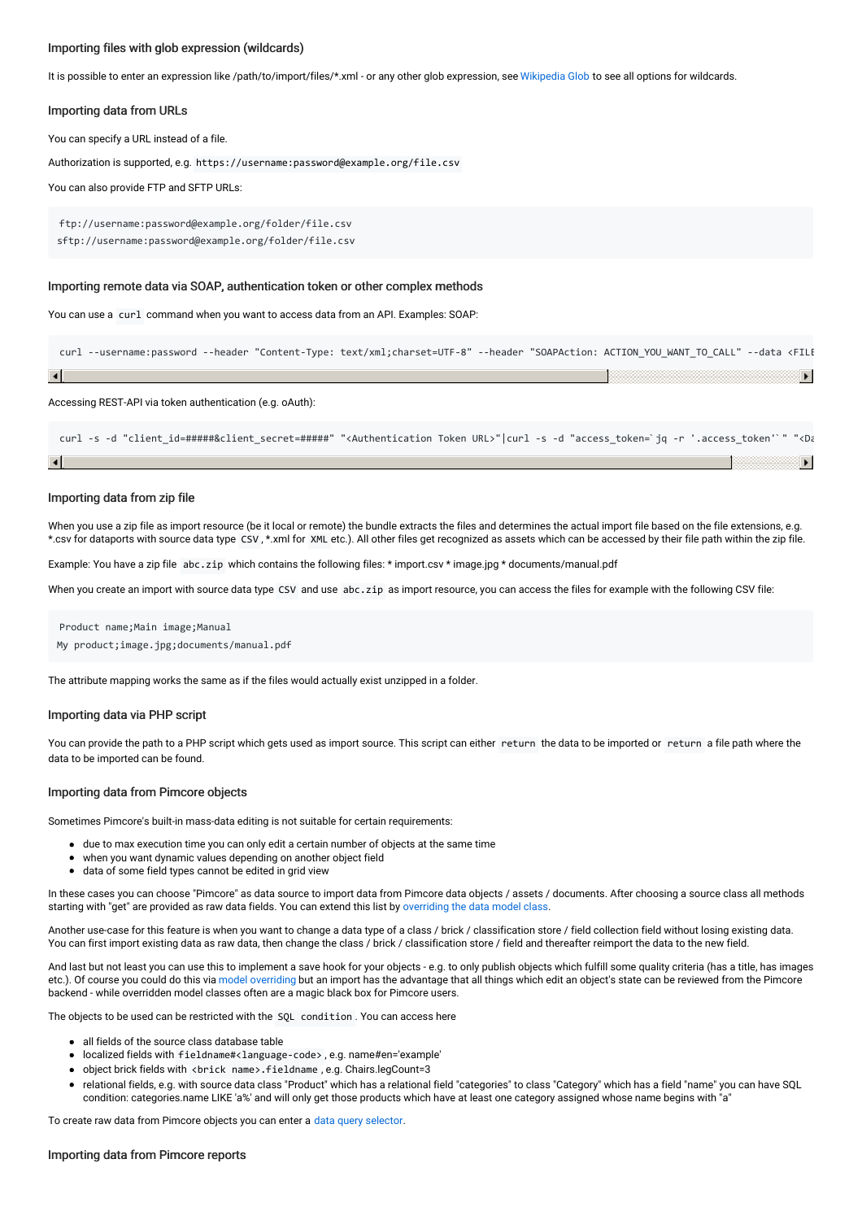#### Importing files with glob expression (wildcards)

It is possible to enter an expression like /path/to/import/files/\*.xml - or any other glob expression, see [Wikipedia](https://en.wikipedia.org/wiki/Glob_(programming)) Glob to see all options for wildcards.

#### Importing data from URLs

You can specify a URL instead of a file.

Authorization is supported, e.g. https://username:password@example.org/file.csv

You can also provide FTP and SFTP URLs:

ftp://username:password@example.org/folder/file.csv sftp://username:password@example.org/folder/file.csv

#### Importing remote data via SOAP, authentication token or other complex methods

You can use a curl command when you want to access data from an API. Examples: SOAP:

curl --username:password --header "Content-Type: text/xml;charset=UTF-8" --header "SOAPAction: ACTION\_YOU\_WANT\_TO\_CALL" --data <FILE  $\vert \cdot \vert$  $\mathbf{E}$ 

Accessing REST-API via token authentication (e.g. oAuth):

```
curl -s -d "client id=#####&client secret=#####" "<Authentication Token URL>"|curl -s -d "access token=`jq -r '.access token'`" "<Da
                                                                                                                                   ▶│
```
#### Importing data from zip file

When you use a zip file as import resource (be it local or remote) the bundle extracts the files and determines the actual import file based on the file extensions, e.g. \*.csv for dataports with source data type CSV , \*.xml for XML etc.). All other files get recognized as assets which can be accessed by their file path within the zip file.

Example: You have a zip file abc.zip which contains the following files: \* import.csv \* image.jpg \* documents/manual.pdf

When you create an import with source data type CSV and use abc.zip as import resource, you can access the files for example with the following CSV file:

Product name;Main image;Manual My product;image.jpg;documents/manual.pdf

The attribute mapping works the same as if the files would actually exist unzipped in a folder.

#### Importing data via PHP script

You can provide the path to a PHP script which gets used as import source. This script can either return the data to be imported or return a file path where the data to be imported can be found.

#### <span id="page-2-0"></span>Importing data from Pimcore objects

Sometimes Pimcore's built-in mass-data editing is not suitable for certain requirements:

- due to max execution time you can only edit a certain number of objects at the same time
- when you want dynamic values depending on another object field
- data of some field types cannot be edited in grid view

In these cases you can choose "Pimcore" as data source to import data from Pimcore data objects / assets / documents. After choosing a source class all methods starting with "get" are provided as raw data fields. You can extend this list by [overriding](https://pimcore.com/docs/5.x/Development_Documentation/Extending_Pimcore/Overriding_Models.html) the data model class.

Another use-case for this feature is when you want to change a data type of a class / brick / classification store / field collection field without losing existing data. You can first import existing data as raw data, then change the class / brick / classification store / field and thereafter reimport the data to the new field.

And last but not least you can use this to implement a save hook for your objects - e.g. to only publish objects which fulfill some quality criteria (has a title, has images etc.). Of course you could do this via model [overriding](https://pimcore.com/docs/latest/Development_Documentation/Extending_Pimcore/Overriding_Models.html) but an import has the advantage that all things which edit an object's state can be reviewed from the Pimcore backend - while overridden model classes often are a magic black box for Pimcore users.

The objects to be used can be restricted with the SQL condition . You can access here

- all fields of the source class database table
- localized fields with fieldname#<language-code> , e.g. name#en='example'
- object brick fields with <brick name>.fieldname , e.g. Chairs.legCount=3
- relational fields, e.g. with source data class "Product" which has a relational field "categories" to class "Category" which has a field "name" you can have SQL condition: categories.name LIKE 'a%' and will only get those products which have at least one category assigned whose name begins with "a"

To create raw data from Pimcore objects you can enter a data query [selector](#page-18-0).

#### Importing data from Pimcore reports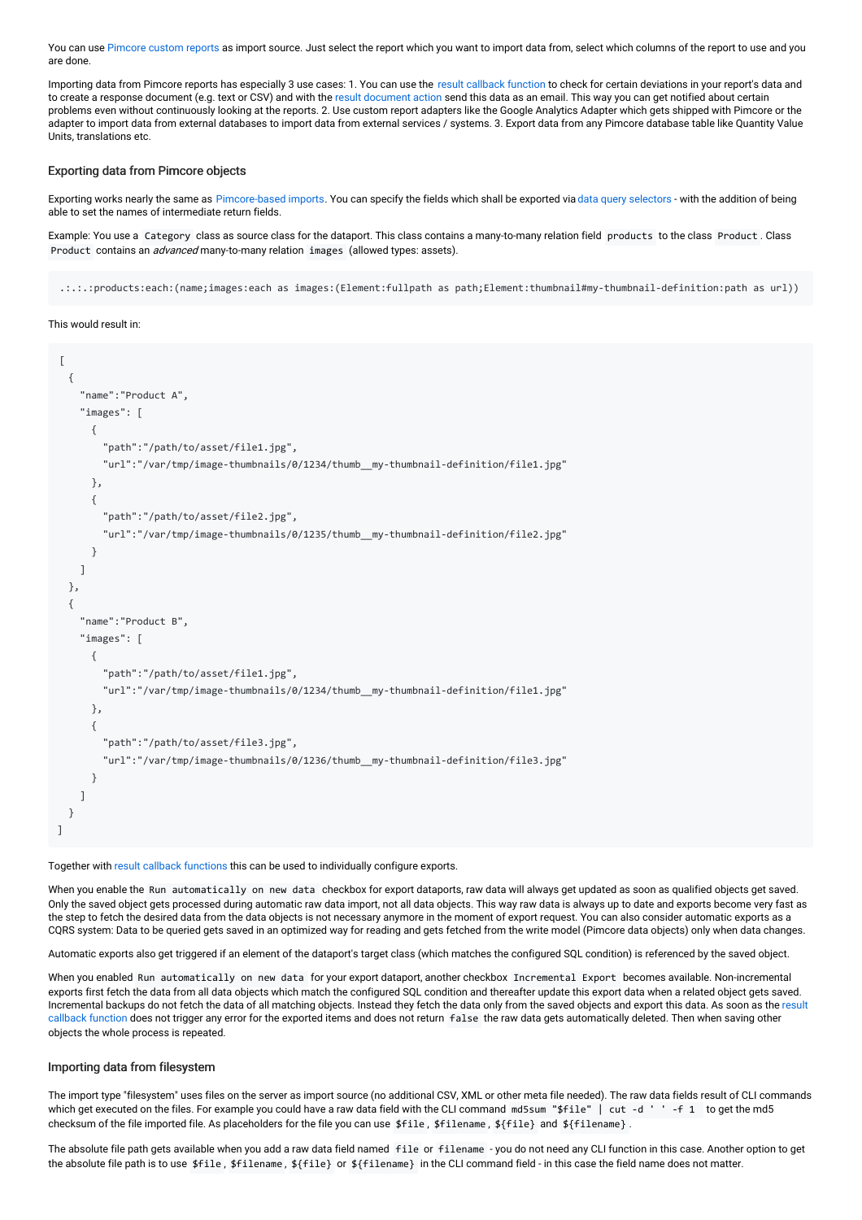You can use [Pimcore](https://pimcore.com/docs/pimcore/current/Development_Documentation/Tools_and_Features/Custom_Reports.html) custom reports as import source. Just select the report which you want to import data from, select which columns of the report to use and you are done.

Importing data from Pimcore reports has especially 3 use cases: 1. You can use the result [callback](#page-25-1) function to check for certain deviations in your report's data and to create a response document (e.g. text or CSV) and with the result document action send this data as an email. This way you can get notified about certain problems even without continuously looking at the reports. 2. Use custom report adapters like the Google Analytics Adapter which gets shipped with Pimcore or the adapter to import data from external databases to import data from external services / systems. 3. Export data from any Pimcore database table like Quantity Value Units, translations etc.

#### Exporting data from Pimcore objects

Exporting works nearly the same as [Pimcore-based](#page-2-0) imports. You can specify the fields which shall be exported via data query [selectors](#page-18-0) - with the addition of being able to set the names of intermediate return fields.

Example: You use a Category class as source class for the dataport. This class contains a many-to-many relation field products to the class Product . Class Product contains an *advanced* many-to-many relation images (allowed types: assets).

.:.:.:products:each:(name;images:each as images:(Element:fullpath as path;Element:thumbnail#my-thumbnail-definition:path as url))

#### This would result in:

```
[
  {
    "name":"Product A",
    "images": [
      {
        "path":"/path/to/asset/file1.jpg",
        "url":"/var/tmp/image-thumbnails/0/1234/thumb__my-thumbnail-definition/file1.jpg"
      },
      {
        "path":"/path/to/asset/file2.jpg",
        "url":"/var/tmp/image-thumbnails/0/1235/thumb__my-thumbnail-definition/file2.jpg"
      }
    ]
 },
  {
    "name":"Product B",
    "images": [
      {
        "path":"/path/to/asset/file1.jpg",
        "url":"/var/tmp/image-thumbnails/0/1234/thumb__my-thumbnail-definition/file1.jpg"
      },
      {
        "path":"/path/to/asset/file3.jpg",
        "url":"/var/tmp/image-thumbnails/0/1236/thumb__my-thumbnail-definition/file3.jpg"
      }
    ]
  }
]
```
Together with result callback [functions](#page-25-1) this can be used to individually configure exports.

When you enable the Run automatically on new data checkbox for export dataports, raw data will always get updated as soon as qualified objects get saved. Only the saved object gets processed during automatic raw data import, not all data objects. This way raw data is always up to date and exports become very fast as the step to fetch the desired data from the data objects is not necessary anymore in the moment of export request. You can also consider automatic exports as a CQRS system: Data to be queried gets saved in an optimized way for reading and gets fetched from the write model (Pimcore data objects) only when data changes.

Automatic exports also get triggered if an element of the dataport's target class (which matches the configured SQL condition) is referenced by the saved object.

When you enabled Run automatically on new data for your export dataport, another checkbox Incremental Export becomes available. Non-incremental exports first fetch the data from all data objects which match the configured SQL condition and thereafter update this export data when a related object gets saved. Incremental backups do not fetch the data of all matching objects. Instead they fetch the data only from the saved objects and export this data. As soon as the result callback function does not trigger any error for the exported items and does not return false the raw data gets [automatically](#page-25-1) deleted. Then when saving other objects the whole process is repeated.

#### Importing data from filesystem

The import type "filesystem" uses files on the server as import source (no additional CSV, XML or other meta file needed). The raw data fields result of CLI commands which get executed on the files. For example you could have a raw data field with the CLI command md5sum "\$file" | cut -d ' -f 1 to get the md5 checksum of the file imported file. As placeholders for the file you can use \$file, \$filename, \${file} and \${filename}.

The absolute file path gets available when you add a raw data field named file or filename - you do not need any CLI function in this case. Another option to get the absolute file path is to use \$file, \$filename, \${file} or \${filename} in the CLI command field - in this case the field name does not matter.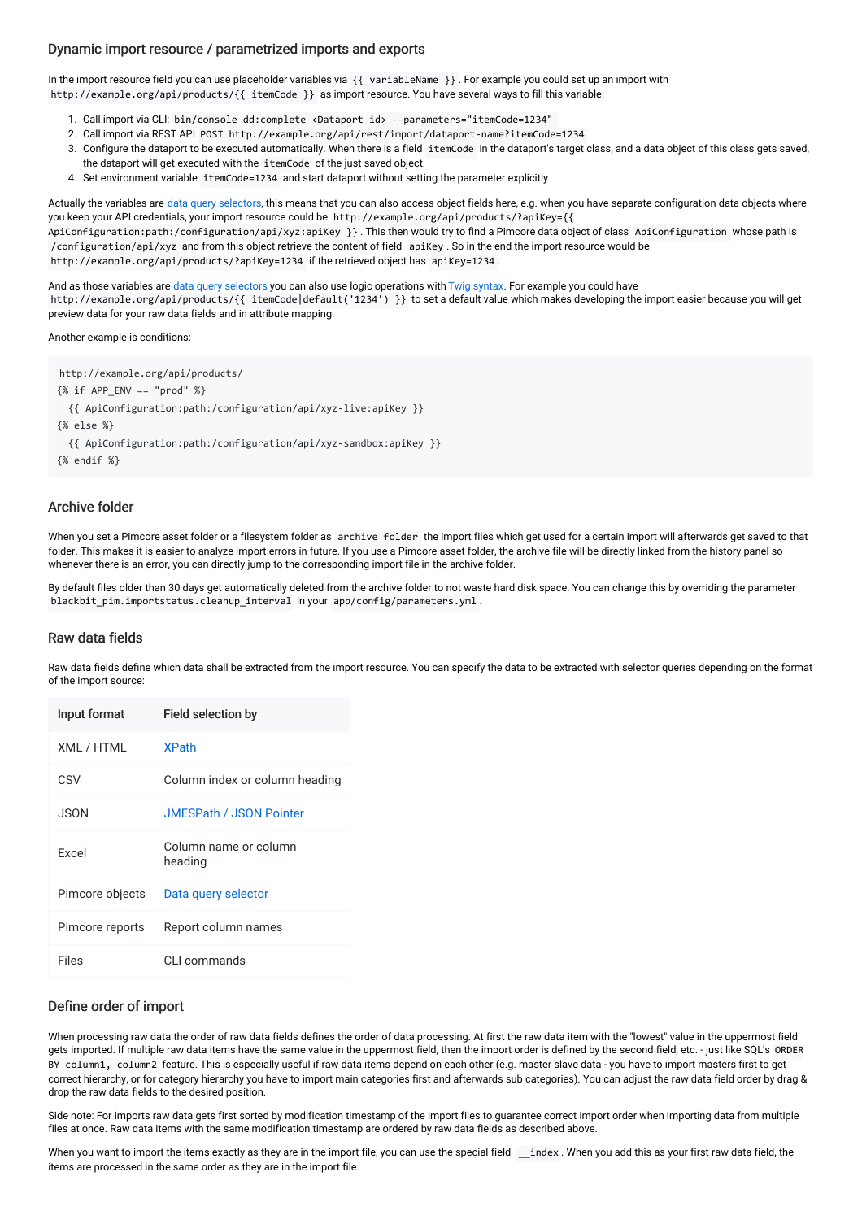#### Dynamic import resource / parametrized imports and exports

In the import resource field you can use placeholder variables via {{ variableName }} . For example you could set up an import with http://example.org/api/products/{{ itemCode }} as import resource. You have several ways to fill this variable:

- 1. Call import via CLI: bin/console dd:complete <Dataport id> --parameters="itemCode=1234"
- 2. Call import via REST API POST http://example.org/api/rest/import/dataport-name?itemCode=1234
- 3. Configure the dataport to be executed automatically. When there is a field itemCode in the dataport's target class, and a data object of this class gets saved, the dataport will get executed with the itemCode of the just saved object.
- 4. Set environment variable itemCode=1234 and start dataport without setting the parameter explicitly

Actually the variables are data query [selectors](#page-18-0), this means that you can also access object fields here, e.g. when you have separate configuration data objects where you keep your API credentials, your import resource could be http://example.org/api/products/?apiKey={{ ApiConfiguration:path:/configuration/api/xyz:apiKey }} . This then would try to find a Pimcore data object of class ApiConfiguration whose path is /configuration/api/xyz and from this object retrieve the content of field apiKey . So in the end the import resource would be

http://example.org/api/products/?apiKey=1234 if the retrieved object has apiKey=1234.

And as those variables are data query [selectors](#page-18-0) you can also use logic operations with Twig [syntax](https://twig.symfony.com/doc/3.x/templates.html). For example you could have http://example.org/api/products/{{ itemCode|default('1234') }} to set a default value which makes developing the import easier because you will get preview data for your raw data fields and in attribute mapping.

#### Another example is conditions:

http://example.org/api/products/  $\{ % \text{if } APP \text{ ENV} == "prod" % \}$ {{ ApiConfiguration:path:/configuration/api/xyz-live:apiKey }} {% else %} {{ ApiConfiguration:path:/configuration/api/xyz-sandbox:apiKey }} {% endif %}

#### Archive folder

When you set a Pimcore asset folder or a filesystem folder as archive folder the import files which get used for a certain import will afterwards get saved to that folder. This makes it is easier to analyze import errors in future. If you use a Pimcore asset folder, the archive file will be directly linked from the history panel so whenever there is an error, you can directly jump to the corresponding import file in the archive folder.

By default files older than 30 days get automatically deleted from the archive folder to not waste hard disk space. You can change this by overriding the parameter blackbit\_pim.importstatus.cleanup\_interval in your app/config/parameters.yml .

#### <span id="page-4-0"></span>Raw data fields

Raw data fields define which data shall be extracted from the import resource. You can specify the data to be extracted with selector queries depending on the format of the import source:

| Input format    | Field selection by               |
|-----------------|----------------------------------|
| XML / HTML      | <b>XPath</b>                     |
| CSV             | Column index or column heading   |
| JSON.           | <b>JMESPath / JSON Pointer</b>   |
| Excel           | Column name or column<br>heading |
| Pimcore objects | Data query selector              |
| Pimcore reports | Report column names              |
| Files           | CLL commands                     |

#### Define order of import

When processing raw data the order of raw data fields defines the order of data processing. At first the raw data item with the "lowest" value in the uppermost field gets imported. If multiple raw data items have the same value in the uppermost field, then the import order is defined by the second field, etc. - just like SQL's ORDER BY column1, column2 feature. This is especially useful if raw data items depend on each other (e.g. master slave data - you have to import masters first to get correct hierarchy, or for category hierarchy you have to import main categories first and afterwards sub categories). You can adjust the raw data field order by drag & drop the raw data fields to the desired position.

Side note: For imports raw data gets first sorted by modification timestamp of the import files to guarantee correct import order when importing data from multiple files at once. Raw data items with the same modification timestamp are ordered by raw data fields as described above.

When you want to import the items exactly as they are in the import file, you can use the special field \_\_index . When you add this as your first raw data field, the items are processed in the same order as they are in the import file.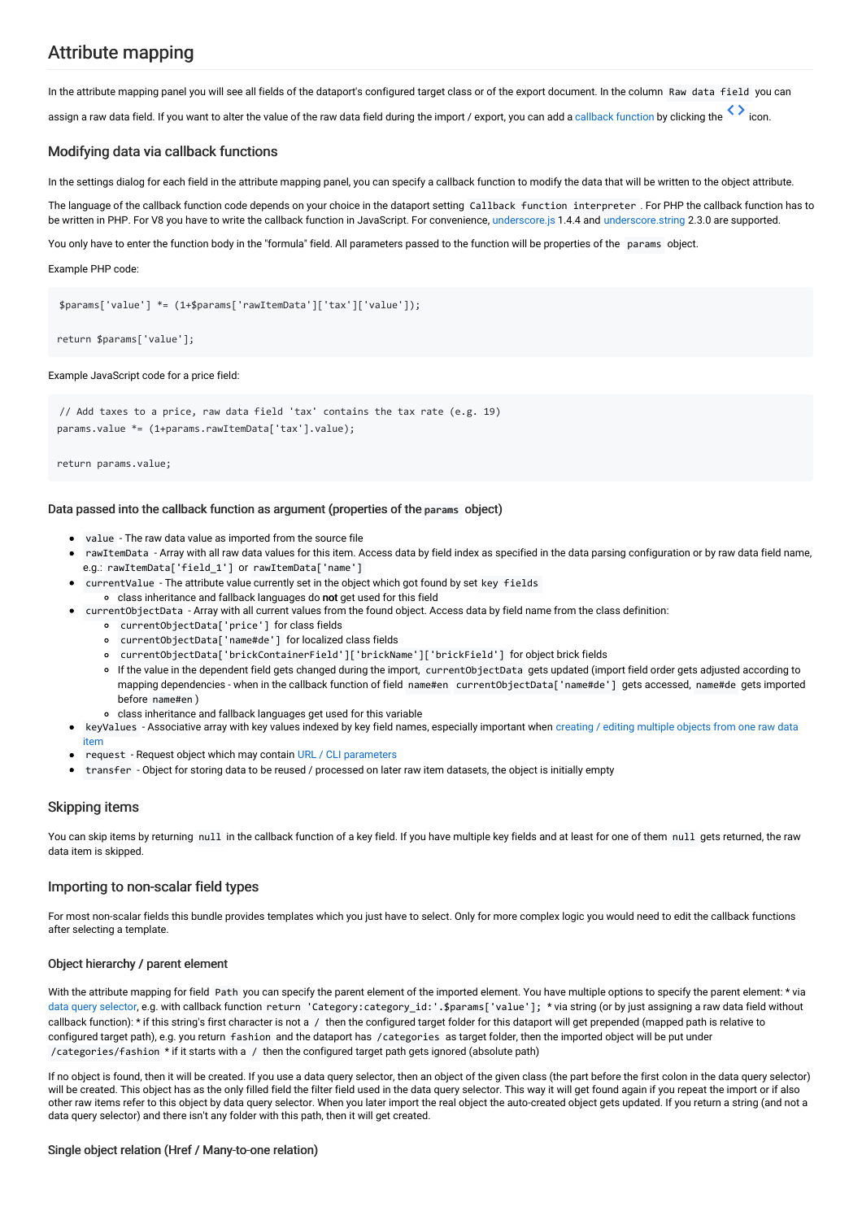# Attribute mapping

In the attribute mapping panel you will see all fields of the dataport's configured target class or of the export document. In the column Raw data field you can

assign a raw data field. If you want to alter the value of the raw data field during the import / export, you can add a [callback](#page-5-1) function by clicking the

### <span id="page-5-1"></span>Modifying data via callback functions

In the settings dialog for each field in the attribute mapping panel, you can specify a callback function to modify the data that will be written to the object attribute.

The language of the callback function code depends on your choice in the dataport setting Callback function interpreter . For PHP the callback function has to be written in PHP. For V8 you have to write the callback function in JavaScript. For convenience, [underscore.js](http://underscorejs.org/) 1.4.4 and [underscore.string](https://epeli.github.io/underscore.string/) 2.3.0 are supported.

You only have to enter the function body in the "formula" field. All parameters passed to the function will be properties of the params object.

Example PHP code:

\$params['value'] \*= (1+\$params['rawItemData']['tax']['value']);

return \$params['value'];

#### Example JavaScript code for a price field:

// Add taxes to a price, raw data field 'tax' contains the tax rate (e.g. 19) params.value \*= (1+params.rawItemData['tax'].value);

return params.value;

#### Data passed into the callback function as argument (properties of the params object)

- value The raw data value as imported from the source file
- rawItemData Array with all raw data values for this item. Access data by field index as specified in the data parsing configuration or by raw data field name, e.g.: rawItemData['field\_1'] or rawItemData['name']
- currentValue The attribute value currently set in the object which got found by set key fields class inheritance and fallback languages do not get used for this field
	- currentObjectData Array with all current values from the found object. Access data by field name from the class definition:
		- currentObjectData['price'] for class fields
		- currentObjectData['name#de'] for localized class fields
		- currentObjectData['brickContainerField']['brickName']['brickField'] for object brick fields
		- If the value in the dependent field gets changed during the import, currentObjectData gets updated (import field order gets adjusted according to mapping dependencies - when in the callback function of field name#en currentObjectData['name#de'] gets accessed, name#de gets imported before name#en )
	- class inheritance and fallback languages get used for this variable
	- keyValues [Associative](#page-17-0) array with key values indexed by key field names, especially important when creating / editing multiple objects from one raw data item
- request Request object which may contain URL / CLI parameters
- transfer Object for storing data to be reused / processed on later raw item datasets, the object is initially empty

#### <span id="page-5-0"></span>Skipping items

 $\bullet$ 

 $\bullet$ 

You can skip items by returning null in the callback function of a key field. If you have multiple key fields and at least for one of them null gets returned, the raw data item is skipped.

#### Importing to non-scalar field types

For most non-scalar fields this bundle provides templates which you just have to select. Only for more complex logic you would need to edit the callback functions after selecting a template.

#### Object hierarchy / parent element

With the attribute mapping for field Path you can specify the parent element of the imported element. You have multiple options to specify the parent element: \* via data query [selector](#page-18-0), e.g. with callback function return 'Category:category\_id:'.\$params['value']; \*via string (or by just assigning a raw data field without callback function): \* if this string's first character is not a / then the configured target folder for this dataport will get prepended (mapped path is relative to configured target path), e.g. you return fashion and the dataport has /categories as target folder, then the imported object will be put under /categories/fashion \* if it starts with a / then the configured target path gets ignored (absolute path)

If no object is found, then it will be created. If you use a data query selector, then an object of the given class (the part before the first colon in the data query selector) will be created. This object has as the only filled field the filter field used in the data query selector. This way it will get found again if you repeat the import or if also other raw items refer to this object by data query selector. When you later import the real object the auto-created object gets updated. If you return a string (and not a data query selector) and there isn't any folder with this path, then it will get created.

#### Single object relation (Href / Many-to-one relation)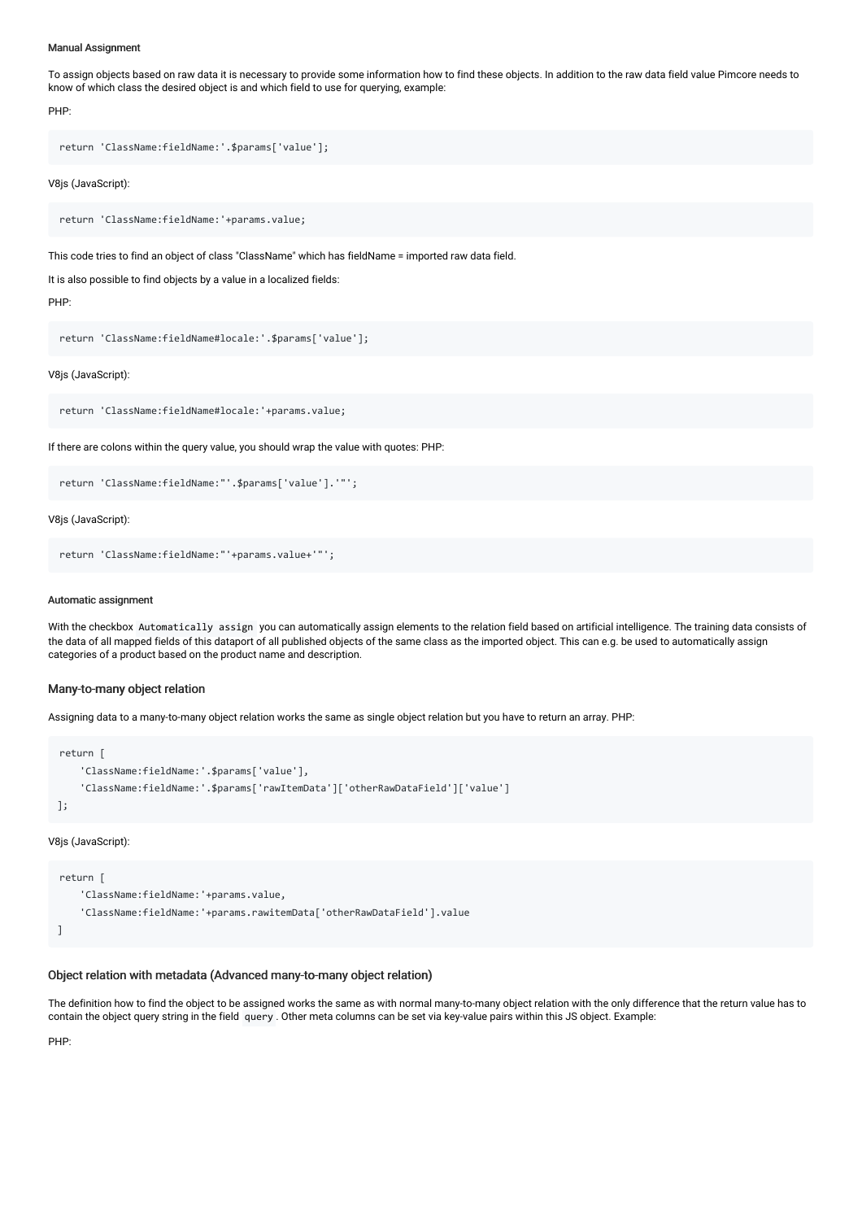#### Manual Assignment

To assign objects based on raw data it is necessary to provide some information how to find these objects. In addition to the raw data field value Pimcore needs to know of which class the desired object is and which field to use for querying, example:

PHP:

```
return 'ClassName:fieldName:'.$params['value'];
```
V8js (JavaScript):

return 'ClassName:fieldName:'+params.value;

This code tries to find an object of class "ClassName" which has fieldName = imported raw data field.

It is also possible to find objects by a value in a localized fields:

PHP:

```
return 'ClassName:fieldName#locale:'.$params['value'];
```
V8js (JavaScript):

```
return 'ClassName:fieldName#locale:'+params.value;
```
If there are colons within the query value, you should wrap the value with quotes: PHP:

```
return 'ClassName:fieldName:"'.$params['value'].'"';
```
V8js (JavaScript):

```
return 'ClassName:fieldName:"'+params.value+'"';
```
#### Automatic assignment

With the checkbox Automatically assign you can automatically assign elements to the relation field based on artificial intelligence. The training data consists of the data of all mapped fields of this dataport of all published objects of the same class as the imported object. This can e.g. be used to automatically assign categories of a product based on the product name and description.

#### Many-to-many object relation

Assigning data to a many-to-many object relation works the same as single object relation but you have to return an array. PHP:

```
return [
    'ClassName:fieldName:'.$params['value'],
    'ClassName:fieldName:'.$params['rawItemData']['otherRawDataField']['value']
];
```
V8js (JavaScript):

```
return [
    'ClassName:fieldName:'+params.value,
    'ClassName:fieldName:'+params.rawitemData['otherRawDataField'].value
]
```
#### Object relation with metadata (Advanced many-to-many object relation)

The definition how to find the object to be assigned works the same as with normal many-to-many object relation with the only difference that the return value has to contain the object query string in the field query . Other meta columns can be set via key-value pairs within this JS object. Example:

PHP: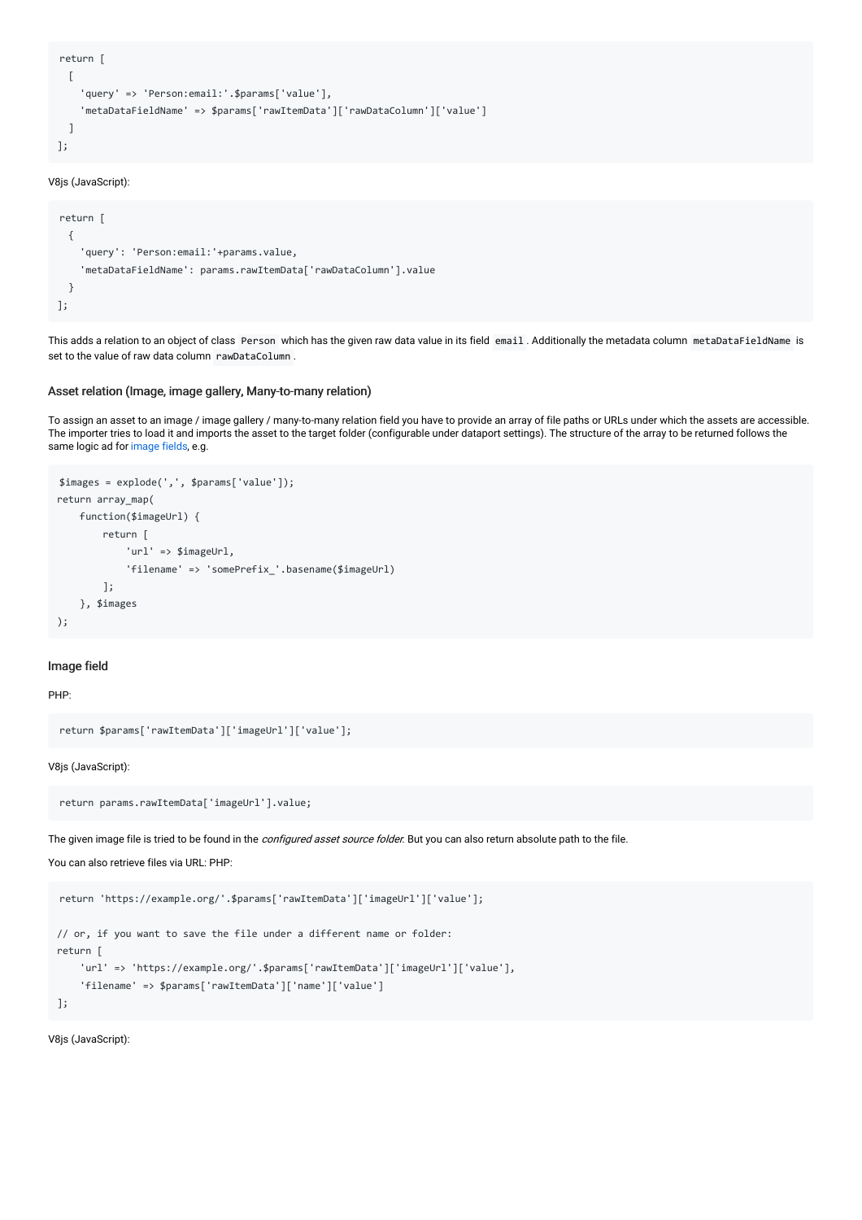```
return [
 [
    'query' => 'Person:email:'.$params['value'],
    'metaDataFieldName' => $params['rawItemData']['rawDataColumn']['value']
 ]
];
```

```
return [
 {
    'query': 'Person:email:'+params.value,
    'metaDataFieldName': params.rawItemData['rawDataColumn'].value
 }
];
```
This adds a relation to an object of class Person which has the given raw data value in its field email . Additionally the metadata column metaDataFieldName is set to the value of raw data column rawDataColumn.

#### Asset relation (Image, image gallery, Many-to-many relation)

To assign an asset to an image / image gallery / many-to-many relation field you have to provide an array of file paths or URLs under which the assets are accessible. The importer tries to load it and imports the asset to the target folder (configurable under dataport settings). The structure of the array to be returned follows the same logic ad for [image](#page-7-0) fields, e.g.

```
$images = explode(',', $params['value']);
return array_map(
    function($imageUrl) {
        return [
            'url' => $imageUrl,
            'filename' => 'somePrefix_'.basename($imageUrl)
        ];
    }, $images
);
```
#### <span id="page-7-0"></span>Image field

#### PHP:

```
return $params['rawItemData']['imageUrl']['value'];
```
#### V8js (JavaScript):

```
return params.rawItemData['imageUrl'].value;
```
The given image file is tried to be found in the *configured asset source folder*. But you can also return absolute path to the file.

#### You can also retrieve files via URL: PHP:

```
return 'https://example.org/'.$params['rawItemData']['imageUrl']['value'];
// or, if you want to save the file under a different name or folder:
return [
    'url' => 'https://example.org/'.$params['rawItemData']['imageUrl']['value'],
    'filename' => $params['rawItemData']['name']['value']
];
```
V8js (JavaScript):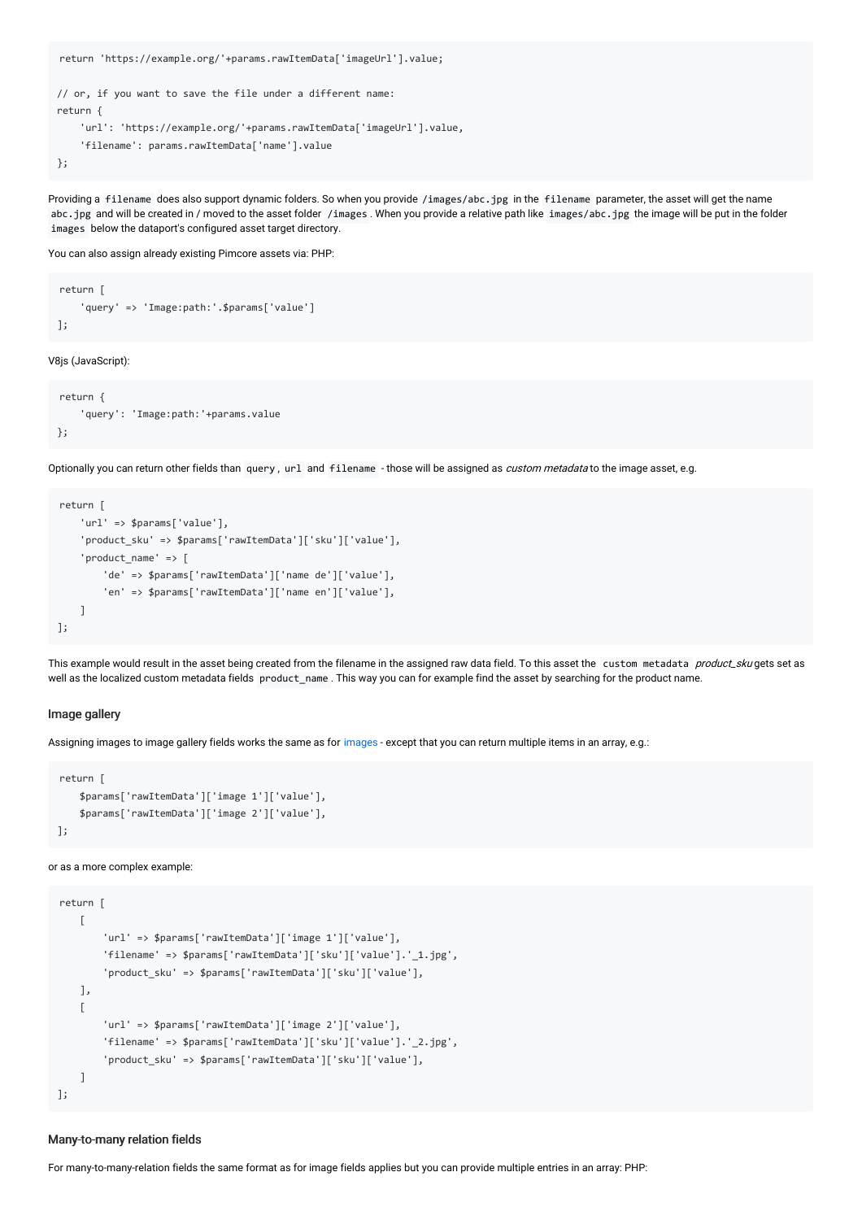```
return 'https://example.org/'+params.rawItemData['imageUrl'].value;
// or, if you want to save the file under a different name:
return {
    'url': 'https://example.org/'+params.rawItemData['imageUrl'].value,
    'filename': params.rawItemData['name'].value
};
```
Providing a filename does also support dynamic folders. So when you provide /images/abc.jpg in the filename parameter, the asset will get the name abc.jpg and will be created in / moved to the asset folder /images . When you provide a relative path like images/abc.jpg the image will be put in the folder images below the dataport's configured asset target directory.

You can also assign already existing Pimcore assets via: PHP:

```
return [
    'query' => 'Image:path:'.$params['value']
];
```
V8js (JavaScript):

```
return {
    'query': 'Image:path:'+params.value
};
```
Optionally you can return other fields than query, url and filename - those will be assigned as custom metadata to the image asset, e.g.

```
return [
   'url' => $params['value'],
   'product_sku' => $params['rawItemData']['sku']['value'],
    'product_name' => [
        'de' => $params['rawItemData']['name de']['value'],
        'en' => $params['rawItemData']['name en']['value'],
    ]
];
```
This example would result in the asset being created from the filename in the assigned raw data field. To this asset the custom metadata *product sku* gets set as well as the localized custom metadata fields product\_name . This way you can for example find the asset by searching for the product name.

#### Image gallery

Assigning [images](#page-7-0) to image gallery fields works the same as for images - except that you can return multiple items in an array, e.g.:

```
return [
    $params['rawItemData']['image 1']['value'],
    $params['rawItemData']['image 2']['value'],
];
```
or as a more complex example:

```
return [
    \sqrt{ }'url' => $params['rawItemData']['image 1']['value'],
        'filename' => $params['rawItemData']['sku']['value'].'_1.jpg',
        'product_sku' => $params['rawItemData']['sku']['value'],
    ],
    \sqrt{2}'url' => $params['rawItemData']['image 2']['value'],
        'filename' => $params['rawItemData']['sku']['value'].'_2.jpg',
        'product_sku' => $params['rawItemData']['sku']['value'],
    ]
];
```
#### Many-to-many relation fields

For many-to-many-relation fields the same format as for image fields applies but you can provide multiple entries in an array: PHP: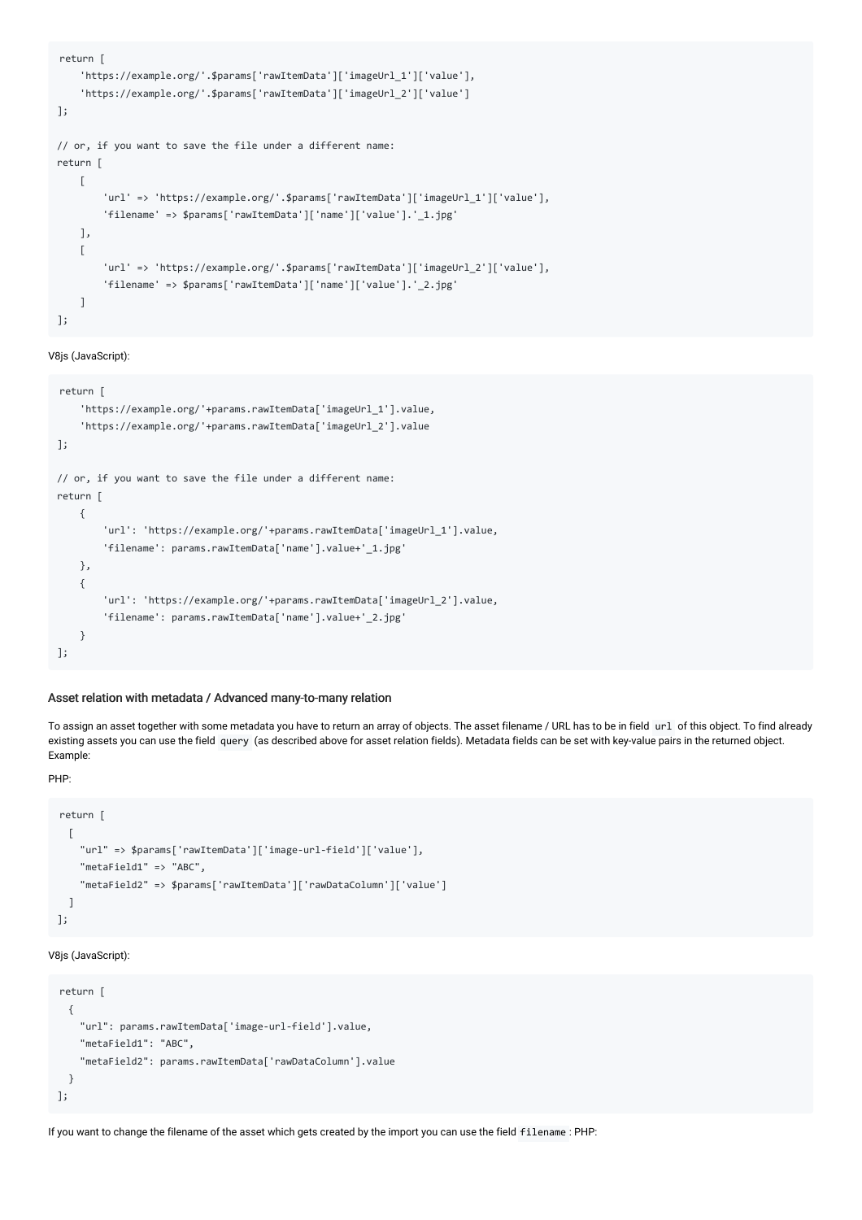```
return [
    'https://example.org/'.$params['rawItemData']['imageUrl_1']['value'],
    'https://example.org/'.$params['rawItemData']['imageUrl_2']['value']
];
// or, if you want to save the file under a different name:
return [
    \Gamma'url' => 'https://example.org/'.$params['rawItemData']['imageUrl_1']['value'],
        'filename' => $params['rawItemData']['name']['value'].'_1.jpg'
   ],
    \Gamma'url' => 'https://example.org/'.$params['rawItemData']['imageUrl_2']['value'],
        'filename' => $params['rawItemData']['name']['value'].'_2.jpg'
    ]
];
```

```
return [
    'https://example.org/'+params.rawItemData['imageUrl_1'].value,
    'https://example.org/'+params.rawItemData['imageUrl_2'].value
];
// or, if you want to save the file under a different name:
return [
    {
        'url': 'https://example.org/'+params.rawItemData['imageUrl_1'].value,
        'filename': params.rawItemData['name'].value+'_1.jpg'
   },
    {
        'url': 'https://example.org/'+params.rawItemData['imageUrl_2'].value,
        'filename': params.rawItemData['name'].value+'_2.jpg'
    }
];
```
#### Asset relation with metadata / Advanced many-to-many relation

To assign an asset together with some metadata you have to return an array of objects. The asset filename / URL has to be in field url of this object. To find already existing assets you can use the field query (as described above for asset relation fields). Metadata fields can be set with key-value pairs in the returned object. Example:

#### PHP:

```
return [
 [
   "url" => $params['rawItemData']['image-url-field']['value'],
   "metaField1" => "ABC",
    "metaField2" => $params['rawItemData']['rawDataColumn']['value']
  ]
];
```
#### V8js (JavaScript):

```
return [
 {
   "url": params.rawItemData['image-url-field'].value,
   "metaField1": "ABC",
    "metaField2": params.rawItemData['rawDataColumn'].value
 }
];
```
If you want to change the filename of the asset which gets created by the import you can use the field filename : PHP: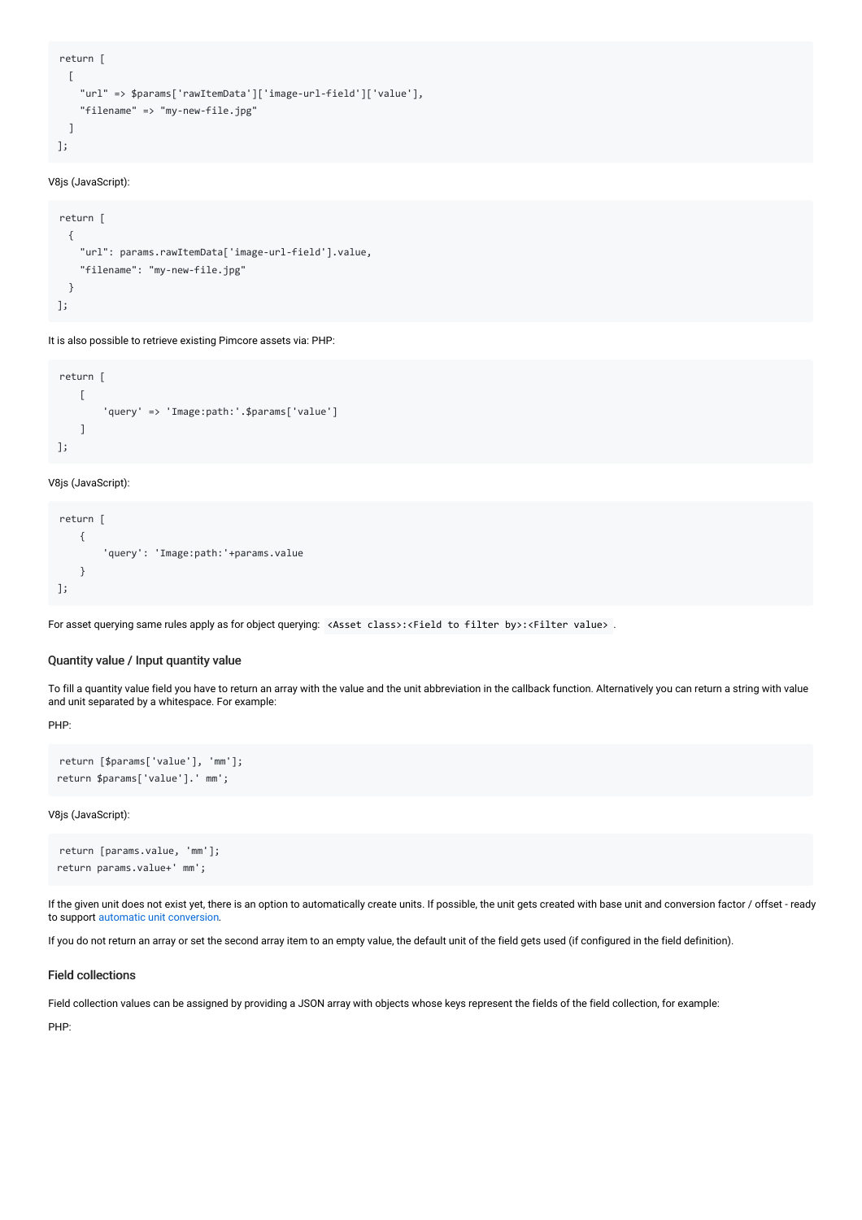```
return [
 [
    "url" => $params['rawItemData']['image-url-field']['value'],
   "filename" => "my-new-file.jpg"
 ]
];
```

```
return [
 {
    "url": params.rawItemData['image-url-field'].value,
    "filename": "my-new-file.jpg"
 }
];
```
It is also possible to retrieve existing Pimcore assets via: PHP:

```
return [
    \Gamma'query' => 'Image:path:'.$params['value']
    ]
];
```
#### V8js (JavaScript):

```
return [
    {
        'query': 'Image:path:'+params.value
    }
];
```
For asset querying same rules apply as for object querying: <Asset class>:<Field to filter by>:<Filter value> .

#### Quantity value / Input quantity value

To fill a quantity value field you have to return an array with the value and the unit abbreviation in the callback function. Alternatively you can return a string with value and unit separated by a whitespace. For example:

PHP:

```
return [$params['value'], 'mm'];
return $params['value'].' mm';
```
V8js (JavaScript):

```
return [params.value, 'mm'];
return params.value+' mm';
```
If the given unit does not exist yet, there is an option to automatically create units. If possible, the unit gets created with base unit and conversion factor / offset - ready to support automatic unit [conversion](https://pimcore.com/docs/pimcore/current/Development_Documentation/Objects/Object_Classes/Data_Types/Number_Types.html#page_Quantity-Value-Unit-Conversion).

If you do not return an array or set the second array item to an empty value, the default unit of the field gets used (if configured in the field definition).

#### Field collections

Field collection values can be assigned by providing a JSON array with objects whose keys represent the fields of the field collection, for example:

PHP: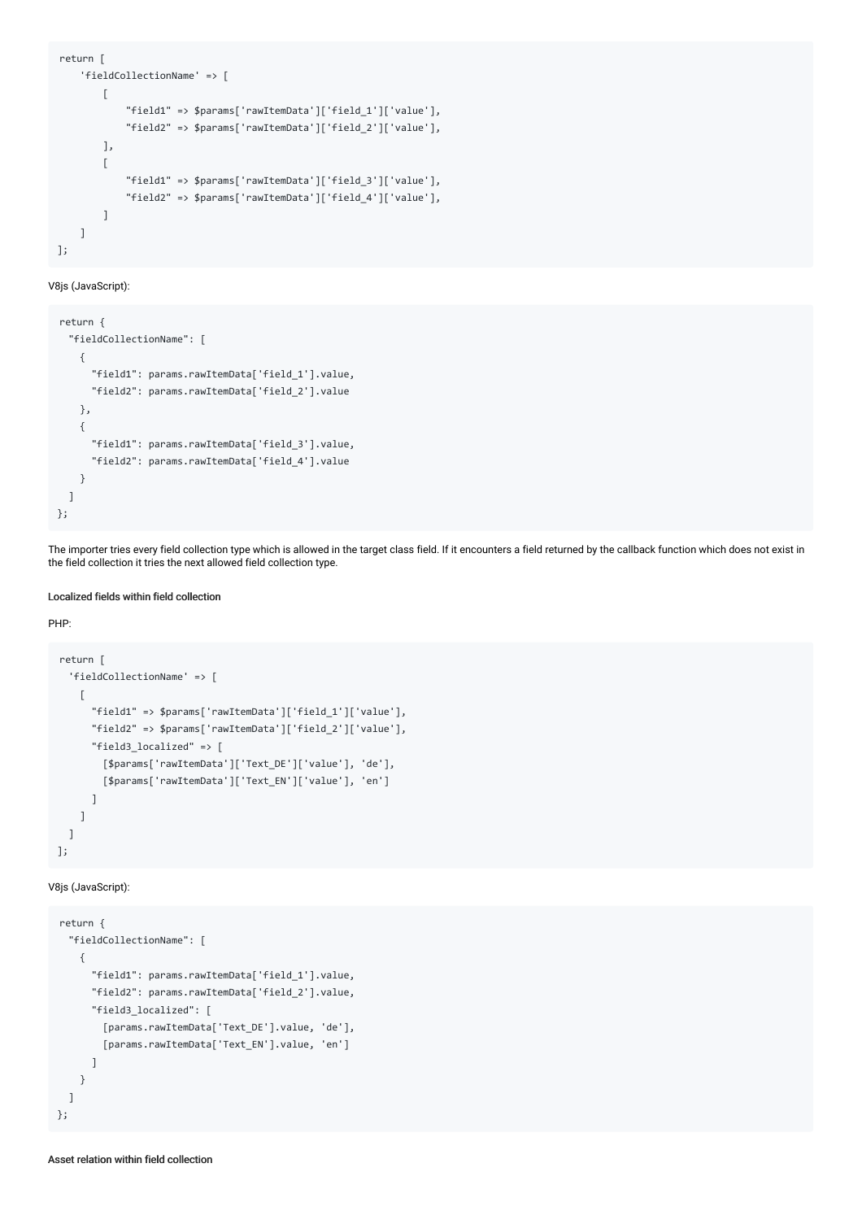```
return [
    'fieldCollectionName' => [
        \Gamma"field1" => $params['rawItemData']['field_1']['value'],
            "field2" => $params['rawItemData']['field_2']['value'],
        ],
        \Gamma"field1" => $params['rawItemData']['field_3']['value'],
            "field2" => $params['rawItemData']['field_4']['value'],
        ]
    ]
];
```

```
return {
  "fieldCollectionName": [
    {
      "field1": params.rawItemData['field_1'].value,
      "field2": params.rawItemData['field_2'].value
   },
    {
      "field1": params.rawItemData['field_3'].value,
      "field2": params.rawItemData['field_4'].value
    }
  ]
};
```
The importer tries every field collection type which is allowed in the target class field. If it encounters a field returned by the callback function which does not exist in the field collection it tries the next allowed field collection type.

#### Localized fields within field collection

#### PHP:

```
return [
  'fieldCollectionName' => [
   \sqrt{ }"field1" => $params['rawItemData']['field_1']['value'],
      "field2" => $params['rawItemData']['field_2']['value'],
      "field3_localized" => [
        [$params['rawItemData']['Text_DE']['value'], 'de'],
        [$params['rawItemData']['Text_EN']['value'], 'en']
      ]
    ]
  ]
];
```
#### V8js (JavaScript):

```
return {
  "fieldCollectionName": [
    {
      "field1": params.rawItemData['field_1'].value,
      "field2": params.rawItemData['field_2'].value,
     "field3_localized": [
       [params.rawItemData['Text_DE'].value, 'de'],
        [params.rawItemData['Text_EN'].value, 'en']
     ]
   }
  ]
};
```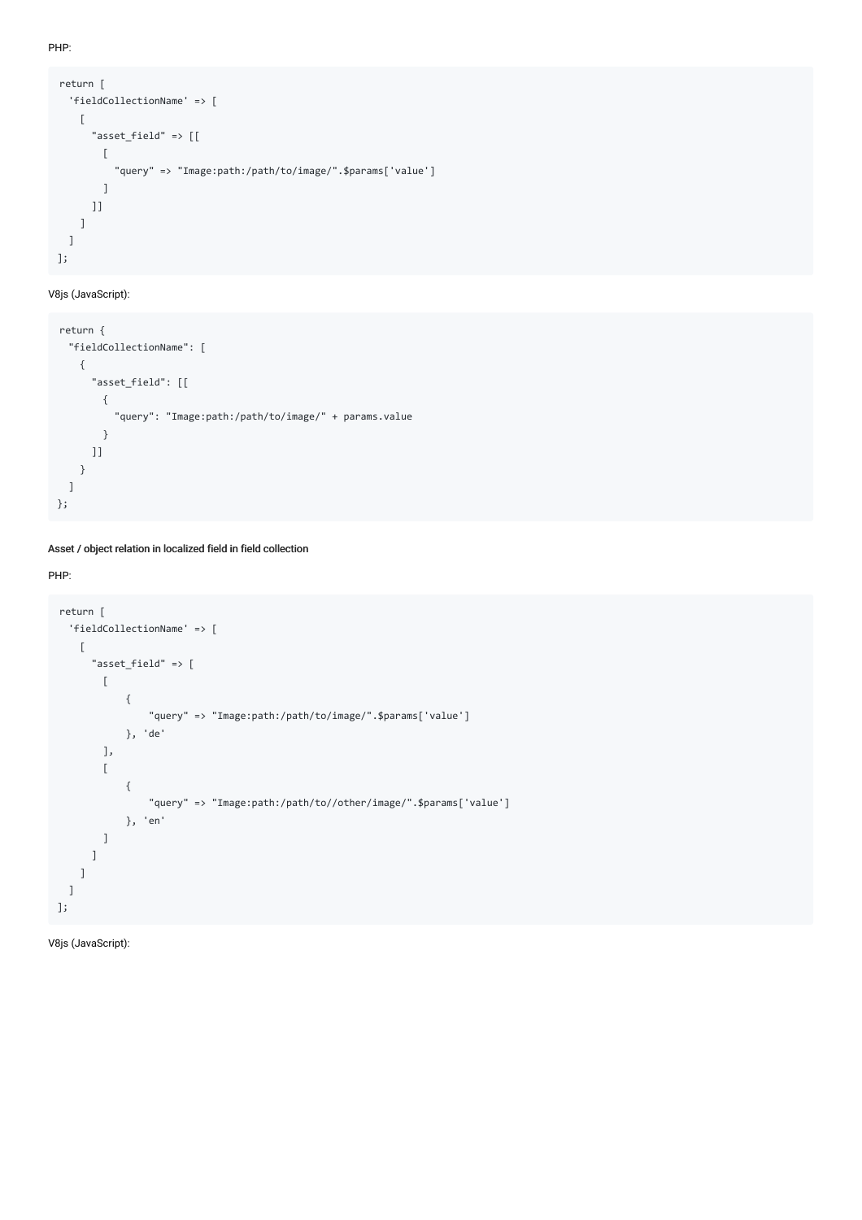PHP:

```
return [
 'fieldCollectionName' => [
   \Gamma"asset_field" => [[
       \Gamma"query" => "Image:path:/path/to/image/".$params['value']
       ]
     ]]
   ]
 ]
];
```
### V8js (JavaScript):

```
return {
  "fieldCollectionName": [
   {
     "asset_field": [[
      {
         "query": "Image:path:/path/to/image/" + params.value
      }
     ]]
   }
  ]
};
```
#### Asset / object relation in localized field in field collection

#### PHP:

```
return [
  'fieldCollectionName' => [
   \sqrt{ }"asset_field" => [
        \lceil{
                 "query" => "Image:path:/path/to/image/".$params['value']
             }, 'de'
        ],
        \overline{\mathbb{L}}{
                 "query" => "Image:path:/path/to//other/image/".$params['value']
             }, 'en'
        ]
      ]
    ]
  ]
];
```
V8js (JavaScript):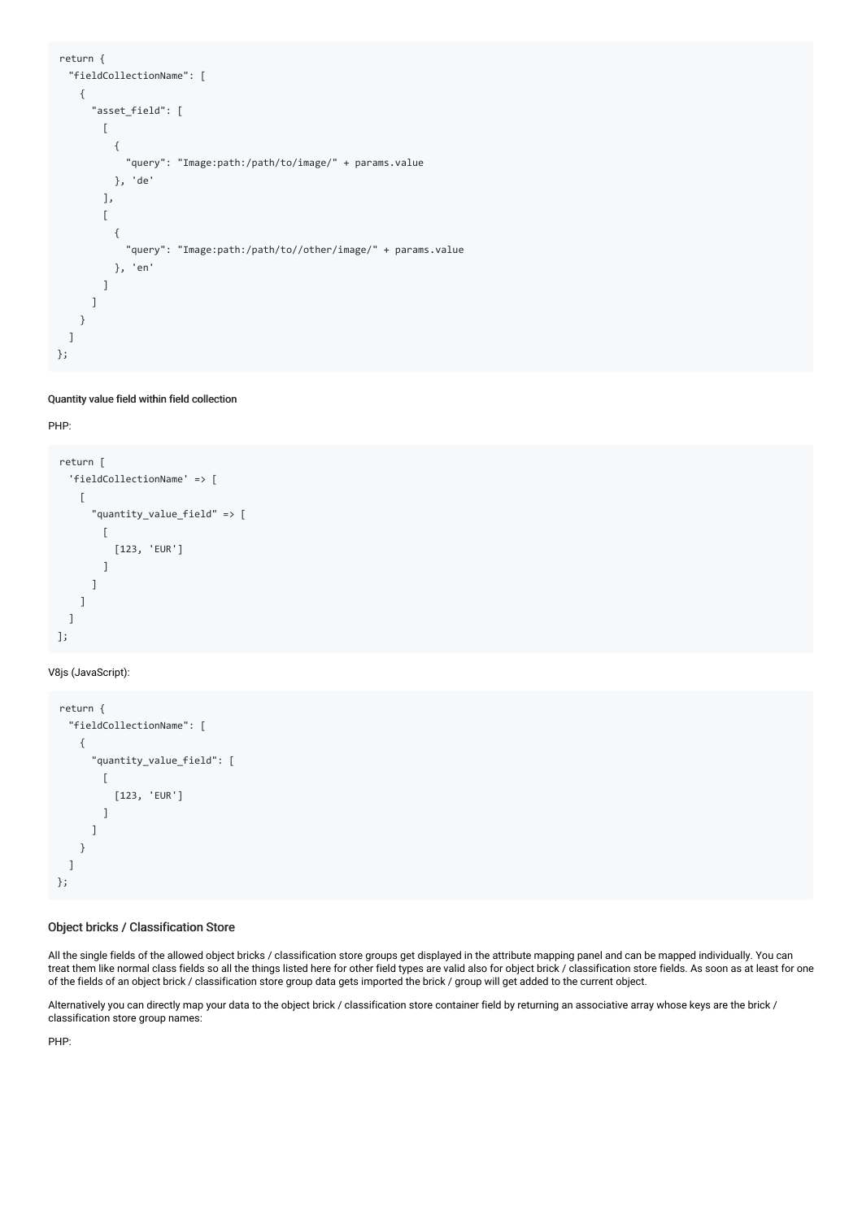```
return {
  "fieldCollectionName": [
    {
       "asset_field": [
        \lceil{
             "query": "Image:path:/path/to/image/" + params.value
          }, 'de'
         ],
         \overline{[}{
             "query": "Image:path:/path/to//other/image/" + params.value
           }, 'en'
        ]
      ]
    }
  ]
};
```
#### Quantity value field within field collection

#### PHP:

```
return [
  'fieldCollectionName' => [
    \lceil"quantity_value_field" => [
        \Gamma[123, 'EUR']
        ]
      ]
    ]
  ]
];
```
#### V8js (JavaScript):

```
return {
  "fieldCollectionName": [
    {
       "quantity_value_field": [
        \lceil[123, 'EUR']
         ]
      ]
    }
  ]
};
```
### Object bricks / Classification Store

All the single fields of the allowed object bricks / classification store groups get displayed in the attribute mapping panel and can be mapped individually. You can treat them like normal class fields so all the things listed here for other field types are valid also for object brick / classification store fields. As soon as at least for one of the fields of an object brick / classification store group data gets imported the brick / group will get added to the current object.

Alternatively you can directly map your data to the object brick / classification store container field by returning an associative array whose keys are the brick / classification store group names:

PHP: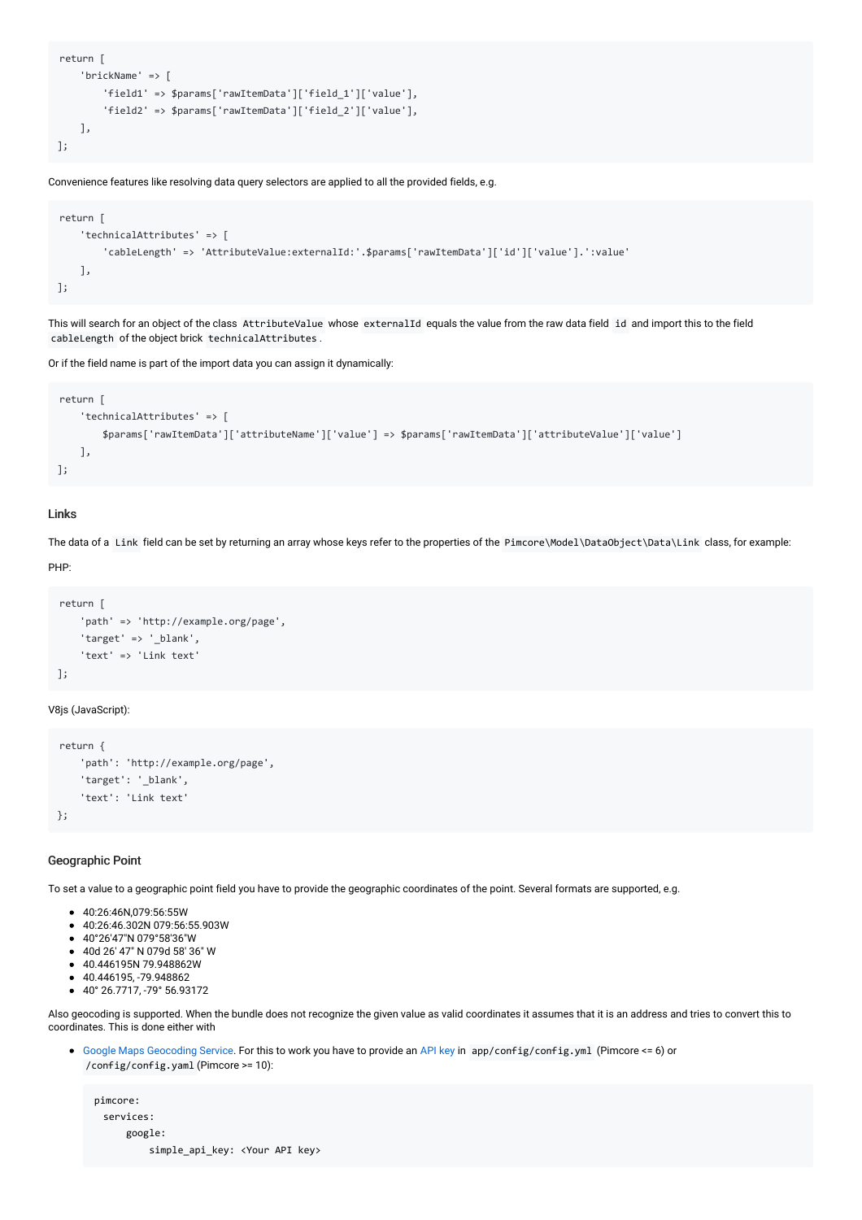```
return [
   'brickName' => [
        'field1' => $params['rawItemData']['field_1']['value'],
        'field2' => $params['rawItemData']['field_2']['value'],
    ],
];
```
Convenience features like resolving data query selectors are applied to all the provided fields, e.g.

```
return [
    'technicalAttributes' => [
        'cableLength' => 'AttributeValue:externalId:'.$params['rawItemData']['id']['value'].':value'
    ],
];
```
This will search for an object of the class AttributeValue whose externalId equals the value from the raw data field id and import this to the field cableLength of the object brick technicalAttributes .

Or if the field name is part of the import data you can assign it dynamically:

```
return [
    'technicalAttributes' => [
        $params['rawItemData']['attributeName']['value'] => $params['rawItemData']['attributeValue']['value']
    ],
];
```
#### Links

The data of a Link field can be set by returning an array whose keys refer to the properties of the Pimcore\Model\DataObject\Data\Link class, for example:

PHP:

```
return [
   'path' => 'http://example.org/page',
    'target' => '_blank',
    'text' => 'Link text'
];
```
V8js (JavaScript):

```
return {
    'path': 'http://example.org/page',
    'target': '_blank',
    'text': 'Link text'
};
```
#### Geographic Point

To set a value to a geographic point field you have to provide the geographic coordinates of the point. Several formats are supported, e.g.

- 40:26:46N,079:56:55W
- 40:26:46.302N 079:56:55.903W
- 40°26′47″N 079°58′36″W
- 40d 26′ 47″ N 079d 58′ 36″ W
- 40.446195N 79.948862W
- 40.446195, -79.948862
- 40° 26.7717, -79° 56.93172

Also geocoding is supported. When the bundle does not recognize the given value as valid coordinates it assumes that it is an address and tries to convert this to coordinates. This is done either with

Google Maps [Geocoding](https://developers.google.com/maps/documentation/geocoding/overview) Service. For this to work you have to provide an [API](https://developers.google.com/maps/documentation/geocoding/get-api-key#creating-api-keys) key in app/config/config.yml (Pimcore <= 6) or /config/config.yaml (Pimcore >= 10):

pimcore: services: google: simple\_api\_key: <Your API key>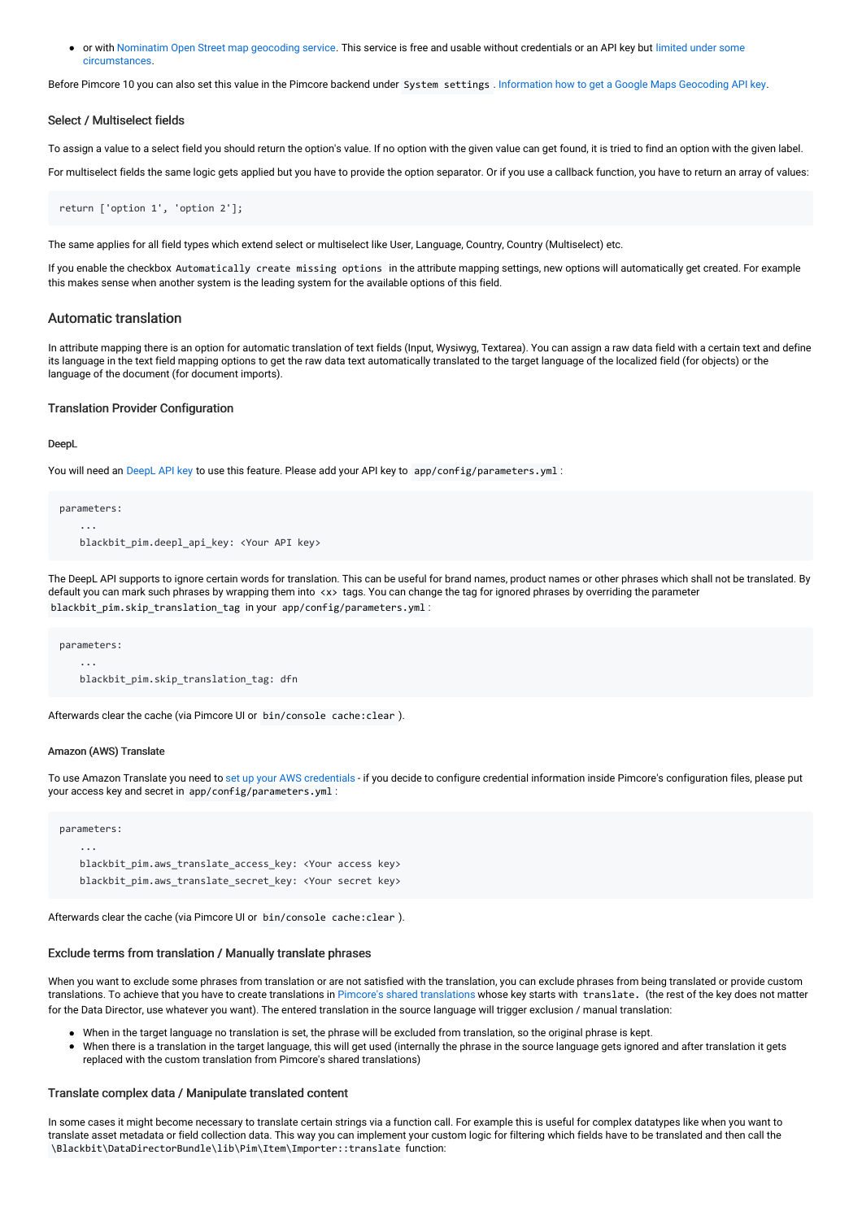or with [Nominatim](https://nominatim.org/) Open Street map geocoding service. This service is free and usable without credentials or an API key but limited under some [circumstances.](https://operations.osmfoundation.org/policies/nominatim/)

Before Pimcore 10 you can also set this value in the Pimcore backend under System settings . [Information](https://developers.google.com/maps/documentation/geocoding/get-api-key) how to get a Google Maps Geocoding API key.

#### Select / Multiselect fields

To assign a value to a select field you should return the option's value. If no option with the given value can get found, it is tried to find an option with the given label.

For multiselect fields the same logic gets applied but you have to provide the option separator. Or if you use a callback function, you have to return an array of values:

```
return ['option 1', 'option 2'];
```
The same applies for all field types which extend select or multiselect like User, Language, Country, Country (Multiselect) etc.

If you enable the checkbox Automatically create missing options in the attribute mapping settings, new options will automatically get created. For example this makes sense when another system is the leading system for the available options of this field.

#### Automatic translation

In attribute mapping there is an option for automatic translation of text fields (Input, Wysiwyg, Textarea). You can assign a raw data field with a certain text and define its language in the text field mapping options to get the raw data text automatically translated to the target language of the localized field (for objects) or the language of the document (for document imports).

#### Translation Provider Configuration

#### DeepL

You will need an [DeepL](https://www.deepl.com/pro.html#developer) API key to use this feature. Please add your API key to app/config/parameters.yml :

```
parameters:
    ...
   blackbit_pim.deepl_api_key: <Your API key>
```
The DeepL API supports to ignore certain words for translation. This can be useful for brand names, product names or other phrases which shall not be translated. By default you can mark such phrases by wrapping them into <x> tags. You can change the tag for ignored phrases by overriding the parameter blackbit pim.skip translation tag in your app/config/parameters.yml :

parameters: ... blackbit\_pim.skip\_translation\_tag: dfn

Afterwards clear the cache (via Pimcore UI or bin/console cache:clear ).

#### Amazon (AWS) Translate

To use Amazon Translate you need to set up your AWS [credentials](https://docs.aws.amazon.com/sdk-for-php/v3/developer-guide/guide_credentials.html) - if you decide to configure credential information inside Pimcore's configuration files, please put your access key and secret in app/config/parameters.yml :

```
parameters:
   ...
   blackbit pim.aws translate access key: <Your access key>
   blackbit pim.aws translate secret key: <Your secret key>
```
Afterwards clear the cache (via Pimcore UI or bin/console cache:clear ).

#### Exclude terms from translation / Manually translate phrases

When you want to exclude some phrases from translation or are not satisfied with the translation, you can exclude phrases from being translated or provide custom translations. To achieve that you have to create translations in Pimcore's shared [translations](https://pimcore.com/docs/pimcore/current/Development_Documentation/Multi_Language_i18n/Shared_Translations.html) whose key starts with translate. (the rest of the key does not matter for the Data Director, use whatever you want). The entered translation in the source language will trigger exclusion / manual translation:

- When in the target language no translation is set, the phrase will be excluded from translation, so the original phrase is kept.
- When there is a translation in the target language, this will get used (internally the phrase in the source language gets ignored and after translation it gets replaced with the custom translation from Pimcore's shared translations)

#### Translate complex data / Manipulate translated content

In some cases it might become necessary to translate certain strings via a function call. For example this is useful for complex datatypes like when you want to translate asset metadata or field collection data. This way you can implement your custom logic for filtering which fields have to be translated and then call the \Blackbit\DataDirectorBundle\lib\Pim\Item\Importer::translate function: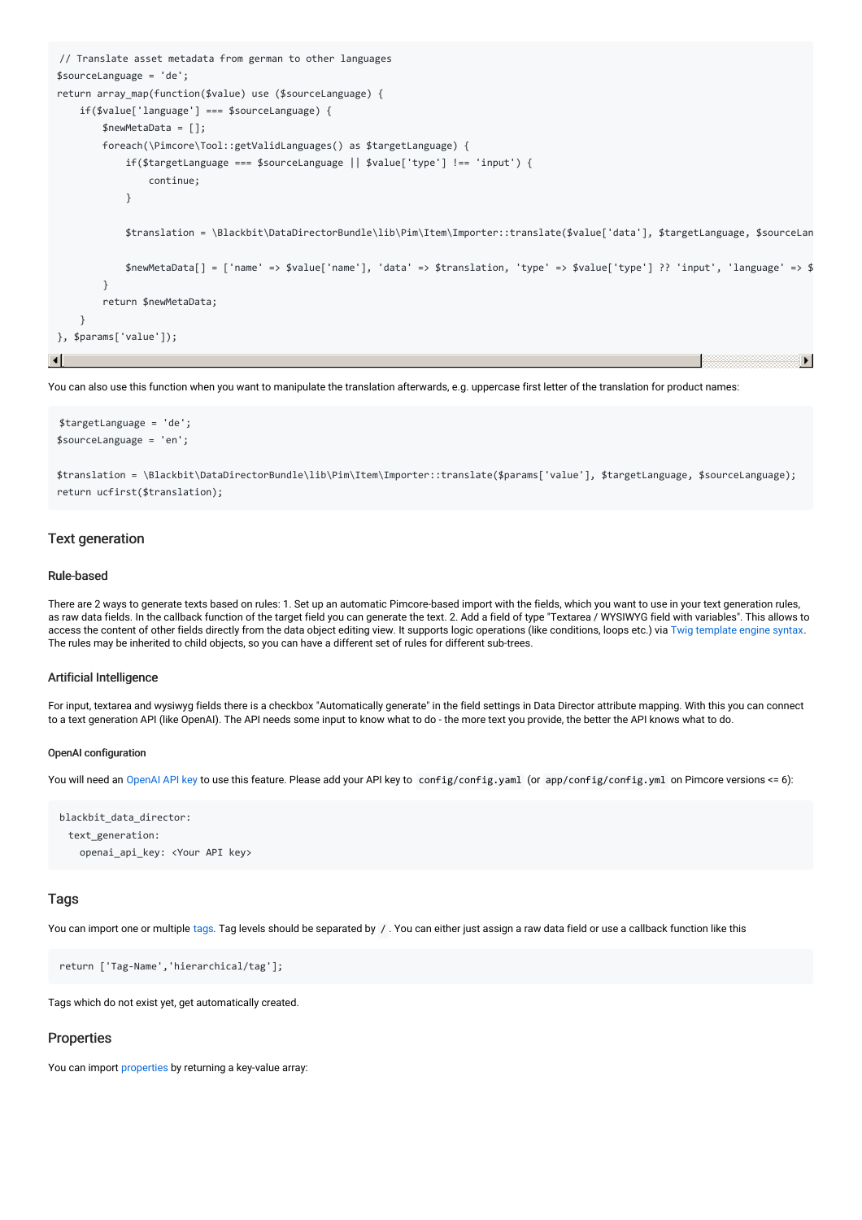```
// Translate asset metadata from german to other languages
$sourceLanguage = 'de';
return array_map(function($value) use ($sourceLanguage) {
      if($value['language'] === $sourceLanguage) {
             $newMetaData = [];
             foreach(\Pimcore\Tool::getValidLanguages() as $targetLanguage) {
                    if($targetLanguage === $sourceLanguage || $value['type'] !== 'input') {
                           continue;
                    }
                    $translation = \Blackbit\DataDirectorBundle\lib\Pim\Item\Importer::translate($value['data'], $targetLanguage, $sourceLanguage);
                    $newMetabata[ ] = ['name' =& $value['name'], 'data' =& $transition', 'type' =& $value['type'] ?' 'input', 'language' =& $% value['time'] =& $value['time'] =& $value['time'] =& $value['time'] =& $value['time'] =& $value['time'] =& $value['time'] =& $value['time'] =& $value['time'] =& $value['time'] =& $value['time'] =& $value['time'] =& $value['time'] =& $value['time'] =& $value['time'] =& $value['time'] =& $value['time'] =& $value['time'] =& $value['time'] =& $value['time'] =& $value['time'] =& $value['time'] =& $value['time'] =& $value['time'] =& $value['time']}
             return $newMetaData;
      }
}, $params['value']);
```
You can also use this function when you want to manipulate the translation afterwards, e.g. uppercase first letter of the translation for product names:

```
$targetLanguage = 'de';
$sourceLanguage = 'en';
```
\$translation = \Blackbit\DataDirectorBundle\lib\Pim\Item\Importer::translate(\$params['value'], \$targetLanguage, \$sourceLanguage); return ucfirst(\$translation);

#### Text generation

#### Rule-based

There are 2 ways to generate texts based on rules: 1. Set up an automatic Pimcore-based import with the fields, which you want to use in your text generation rules, as raw data fields. In the callback function of the target field you can generate the text. 2. Add a field of type "Textarea / WYSIWYG field with variables". This allows to access the content of other fields directly from the data object editing view. It supports logic operations (like conditions, loops etc.) via Twig [template](https://twig.symfony.com/doc/3.x/templates.html) engine syntax. The rules may be inherited to child objects, so you can have a different set of rules for different sub-trees.

#### Artificial Intelligence

For input, textarea and wysiwyg fields there is a checkbox "Automatically generate" in the field settings in Data Director attribute mapping. With this you can connect to a text generation API (like OpenAI). The API needs some input to know what to do - the more text you provide, the better the API knows what to do.

#### OpenAI configuration

You will need an [OpenAI](https://openai.com/api/) API key to use this feature. Please add your API key to config/config.yaml (or app/config/config.yml on Pimcore versions <= 6):

```
blackbit_data_director:
 text_generation:
   openai_api_key: <Your API key>
```
#### Tags

You can import one or multiple [tags](https://pimcore.com/docs/latest/Development_Documentation/Tools_and_Features/Tags.html). Tag levels should be separated by /. You can either just assign a raw data field or use a callback function like this

return ['Tag-Name','hierarchical/tag'];

Tags which do not exist yet, get automatically created.

#### **Properties**

You can import [properties](https://pimcore.com/docs/pimcore/current/Development_Documentation/Tools_and_Features/Properties.html) by returning a key-value array: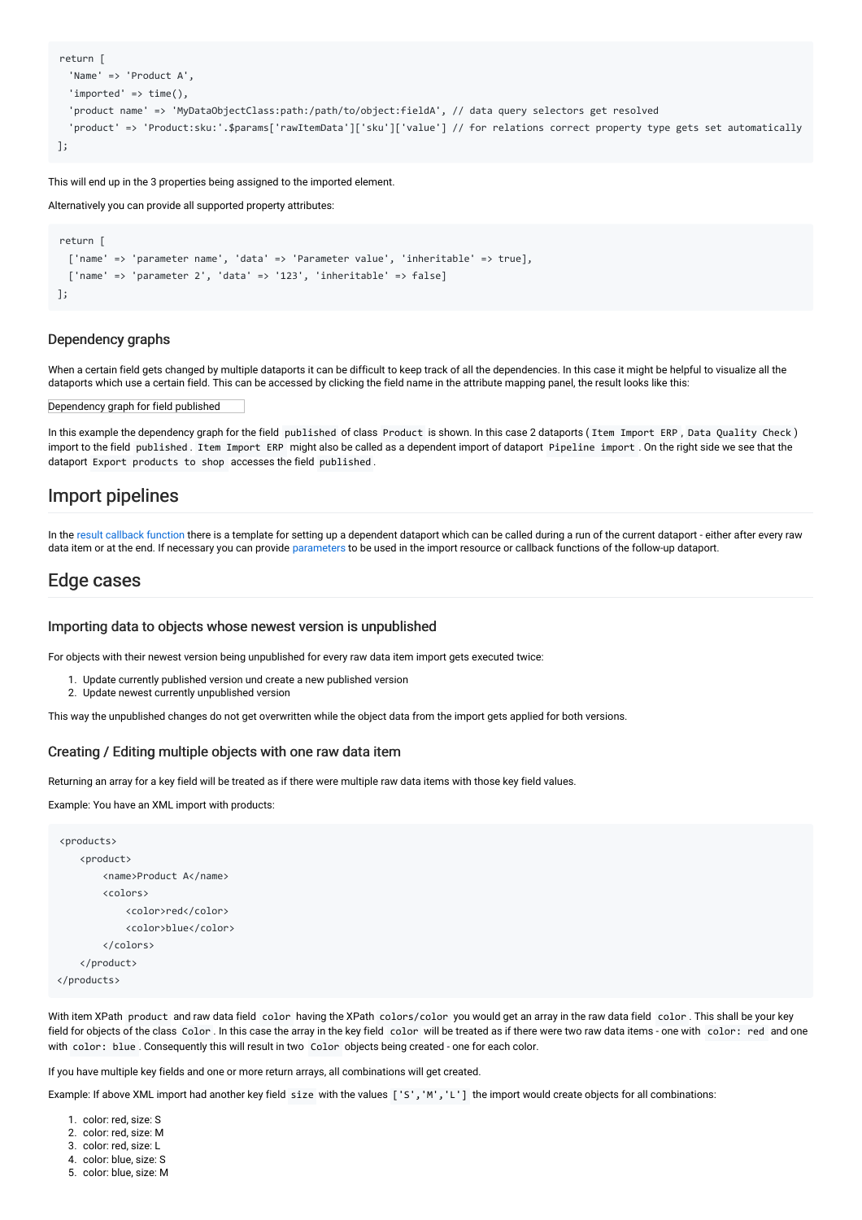```
return [
  'Name' => 'Product A',
  'imported' \Rightarrow time(),
  'product name' => 'MyDataObjectClass:path:/path/to/object:fieldA', // data query selectors get resolved
  'product' => 'Product:sku:'.$params['rawItemData']['sku']['value'] // for relations correct property type gets set automatically
];
```
This will end up in the 3 properties being assigned to the imported element.

Alternatively you can provide all supported property attributes:

```
return [
 ['name' => 'parameter name', 'data' => 'Parameter value', 'inheritable' => true],
 ['name' => 'parameter 2', 'data' => '123', 'inheritable' => false]
];
```
#### Dependency graphs

When a certain field gets changed by multiple dataports it can be difficult to keep track of all the dependencies. In this case it might be helpful to visualize all the dataports which use a certain field. This can be accessed by clicking the field name in the attribute mapping panel, the result looks like this:

Dependency graph for field published

In this example the dependency graph for the field published of class Product is shown. In this case 2 dataports ( Item Import ERP , Data Quality Check ) import to the field published . Item Import ERP might also be called as a dependent import of dataport Pipeline import . On the right side we see that the dataport Export products to shop accesses the field published .

### Import pipelines

In the result [callback](#page-25-1) function there is a template for setting up a dependent dataport which can be called during a run of the current dataport - either after every raw data item or at the end. If necessary you can provide parameters to be used in the import resource or callback functions of the follow-up dataport.

### Edge cases

#### Importing data to objects whose newest version is unpublished

For objects with their newest version being unpublished for every raw data item import gets executed twice:

- 1. Update currently published version und create a new published version
- 2. Update newest currently unpublished version

This way the unpublished changes do not get overwritten while the object data from the import gets applied for both versions.

#### <span id="page-17-0"></span>Creating / Editing multiple objects with one raw data item

Returning an array for a key field will be treated as if there were multiple raw data items with those key field values.

Example: You have an XML import with products:

```
<products>
    <product>
       <name>Product A</name>
        <colors>
            <color>red</color>
            <color>blue</color>
        </colors>
    </product>
</products>
```
With item XPath product and raw data field color having the XPath colors/color you would get an array in the raw data field color . This shall be your key field for objects of the class Color . In this case the array in the key field color will be treated as if there were two raw data items - one with color: red and one with color: blue . Consequently this will result in two Color objects being created - one for each color.

If you have multiple key fields and one or more return arrays, all combinations will get created.

Example: If above XML import had another key field size with the values ['s', 'M', 'L'] the import would create objects for all combinations:

- 2. color: red, size: M
- 3. color: red, size: L
- 4. color: blue, size: S
- 5. color: blue, size: M

<sup>1.</sup> color: red, size: S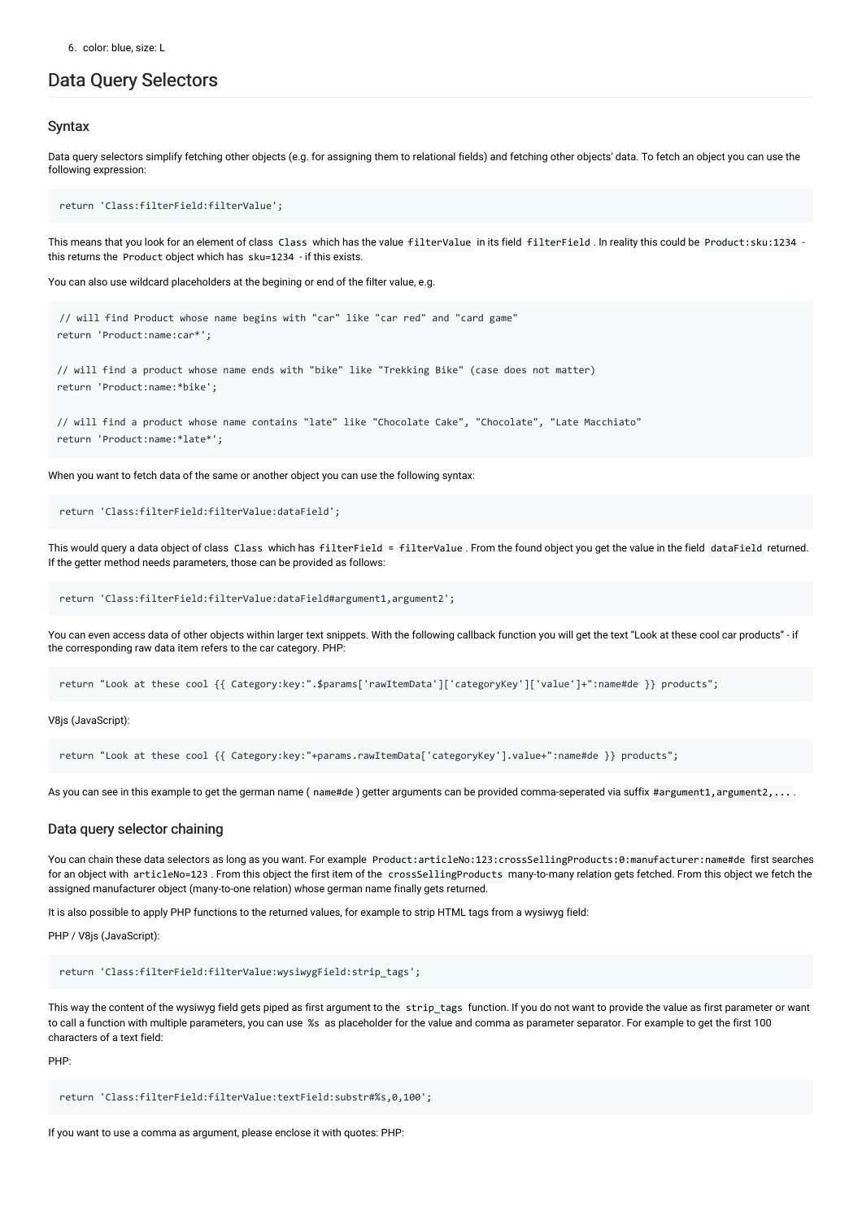### <span id="page-18-0"></span>Data Query Selectors

### **Syntax**

Data query selectors simplify fetching other objects (e.g. for assigning them to relational fields) and fetching other objects' data. To fetch an object you can use the following expression:

return 'Class:filterField:filterValue';

This means that you look for an element of class Class which has the value filterValue in its field filterField . In reality this could be Product:sku:1234 this returns the Product object which has sku=1234 - if this exists.

You can also use wildcard placeholders at the begining or end of the filter value, e.g.

// will find Product whose name begins with "car" like "car red" and "card game" return 'Product:name:car\*';

// will find a product whose name ends with "bike" like "Trekking Bike" (case does not matter) return 'Product:name:\*bike';

// will find a product whose name contains "late" like "Chocolate Cake", "Chocolate", "Late Macchiato" return 'Product:name:\*late\*';

When you want to fetch data of the same or another object you can use the following syntax:

return 'Class:filterField:filterValue:dataField';

This would query a data object of class Class which has filterField = filterValue . From the found object you get the value in the field dataField returned. If the getter method needs parameters, those can be provided as follows:

return 'Class:filterField:filterValue:dataField#argument1,argument2';

You can even access data of other objects within larger text snippets. With the following callback function you will get the text "Look at these cool car products" - if the corresponding raw data item refers to the car category. PHP:

return "Look at these cool {{ Category:key:".\$params['rawItemData']['categoryKey']['value']+":name#de }} products";

V8js (JavaScript):

return "Look at these cool {{ Category:key:"+params.rawItemData['categoryKey'].value+":name#de }} products";

As you can see in this example to get the german name (name#de) getter arguments can be provided comma-seperated via suffix #argument1, argument2, ...

#### Data query selector chaining

You can chain these data selectors as long as you want. For example Product:articleNo:123:crossSellingProducts:0:manufacturer:name#de first searches for an object with articleNo=123. From this object the first item of the crossSellingProducts many-to-many relation gets fetched. From this object we fetch the assigned manufacturer object (many-to-one relation) whose german name finally gets returned.

It is also possible to apply PHP functions to the returned values, for example to strip HTML tags from a wysiwyg field:

PHP / V8is (JavaScript):

```
return 'Class:filterField:filterValue:wysiwygField:strip_tags';
```
This way the content of the wysiwyg field gets piped as first argument to the strip tags function. If you do not want to provide the value as first parameter or want to call a function with multiple parameters, you can use %s as placeholder for the value and comma as parameter separator. For example to get the first 100 characters of a text field:

PHP:

return 'Class:filterField:filterValue:textField:substr#%s,0,100';

If you want to use a comma as argument, please enclose it with quotes: PHP: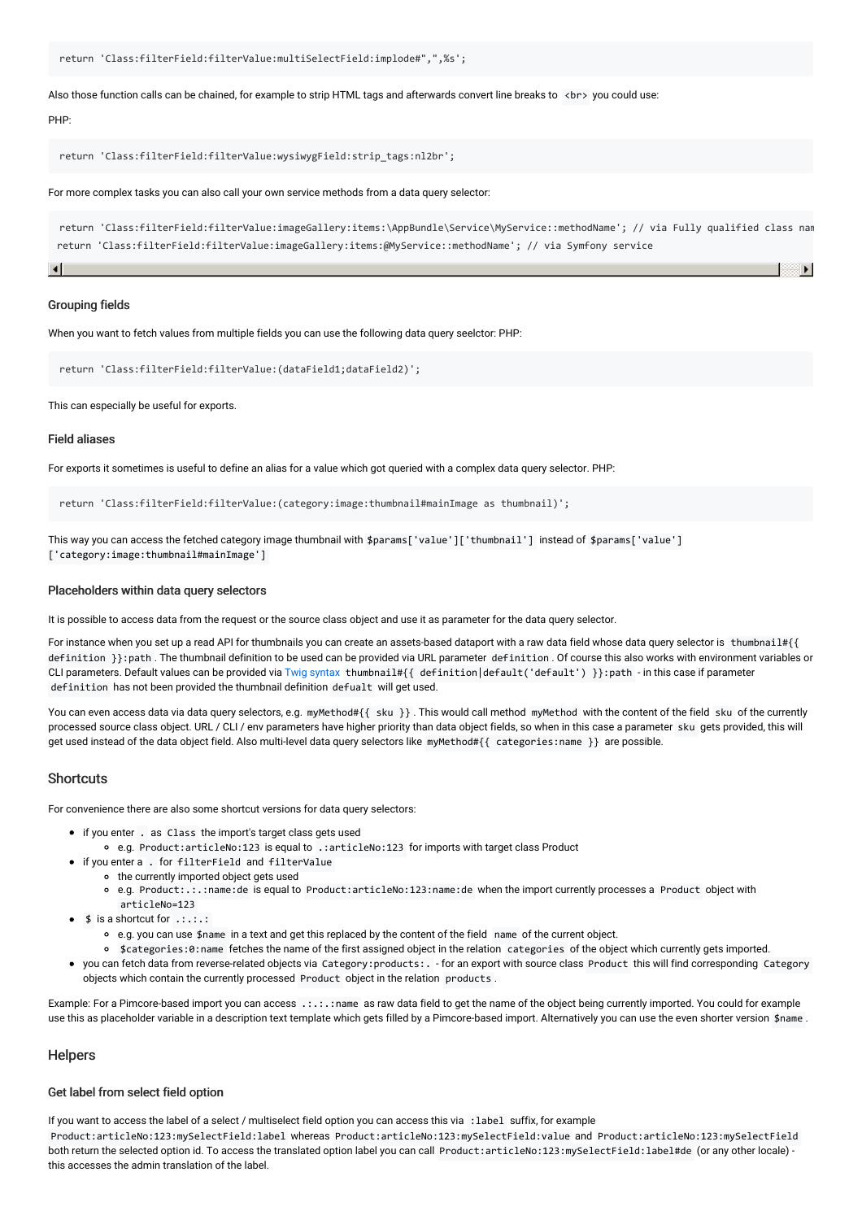```
return 'Class:filterField:filterValue:multiSelectField:implode#",",%s';
```
Also those function calls can be chained, for example to strip HTML tags and afterwards convert line breaks to <br> you could use:

#### PHP:

```
return 'Class:filterField:filterValue:wysiwygField:strip_tags:nl2br';
```
For more complex tasks you can also call your own service methods from a data query selector:

return 'Class:filterField:filterValue:imageGallery:items:\AppBundle\Service\MyService::methodName'; // via Fully qualified class name return 'Class:filterField:filterValue:imageGallery:items:@MyService::methodName'; // via Symfony service

¥

#### Grouping fields

When you want to fetch values from multiple fields you can use the following data query seelctor: PHP:

```
return 'Class:filterField:filterValue:(dataField1;dataField2)';
```
This can especially be useful for exports.

#### Field aliases

For exports it sometimes is useful to define an alias for a value which got queried with a complex data query selector. PHP:

return 'Class:filterField:filterValue:(category:image:thumbnail#mainImage as thumbnail)';

This way you can access the fetched category image thumbnail with \$params['value']['thumbnail'] instead of \$params['value'] ['category:image:thumbnail#mainImage']

#### Placeholders within data query selectors

It is possible to access data from the request or the source class object and use it as parameter for the data query selector.

For instance when you set up a read API for thumbnails you can create an assets-based dataport with a raw data field whose data query selector is thumbnail#{{ definition }}:path . The thumbnail definition to be used can be provided via URL parameter definition . Of course this also works with environment variables or CLI parameters. Default values can be provided via Twig [syntax](https://twig.symfony.com/doc/3.x/templates.html) thumbnail#{{ definition|default('default') }}:path - in this case if parameter definition has not been provided the thumbnail definition defualt will get used.

You can even access data via data query selectors, e.g. myMethod#{{ sku }}. This would call method myMethod with the content of the field sku of the currently processed source class object. URL / CLI / env parameters have higher priority than data object fields, so when in this case a parameter sku gets provided, this will get used instead of the data object field. Also multi-level data query selectors like myMethod#{{ categories:name }} are possible.

#### **Shortcuts**

For convenience there are also some shortcut versions for data query selectors:

- if you enter . as Class the import's target class gets used
	- e.g. Product:articleNo:123 is equal to .:articleNo:123 for imports with target class Product
- if you enter a . for filterField and filterValue
- the currently imported object gets used
	- e.g. Product:.:.:name:de is equal to Product:articleNo:123:name:de when the import currently processes a Product object with articleNo=123
- $\bullet$  \$ is a shortcut for  $\dots$ :
	- e.g. you can use \$name in a text and get this replaced by the content of the field name of the current object.
	- \$categories:0:name fetches the name of the first assigned object in the relation categories of the object which currently gets imported.
- you can fetch data from reverse-related objects via Category:products:. for an export with source class Product this will find corresponding Category objects which contain the currently processed Product object in the relation products .

Example: For a Pimcore-based import you can access .:.:.:name as raw data field to get the name of the object being currently imported. You could for example use this as placeholder variable in a description text template which gets filled by a Pimcore-based import. Alternatively you can use the even shorter version \$name.

#### **Helpers**

#### Get label from select field option

If you want to access the label of a select / multiselect field option you can access this via :label suffix, for example

Product:articleNo:123:mySelectField:label whereas Product:articleNo:123:mySelectField:value and Product:articleNo:123:mySelectField both return the selected option id. To access the translated option label you can call Product:articleNo:123:mySelectField:label#de (or any other locale) this accesses the admin translation of the label.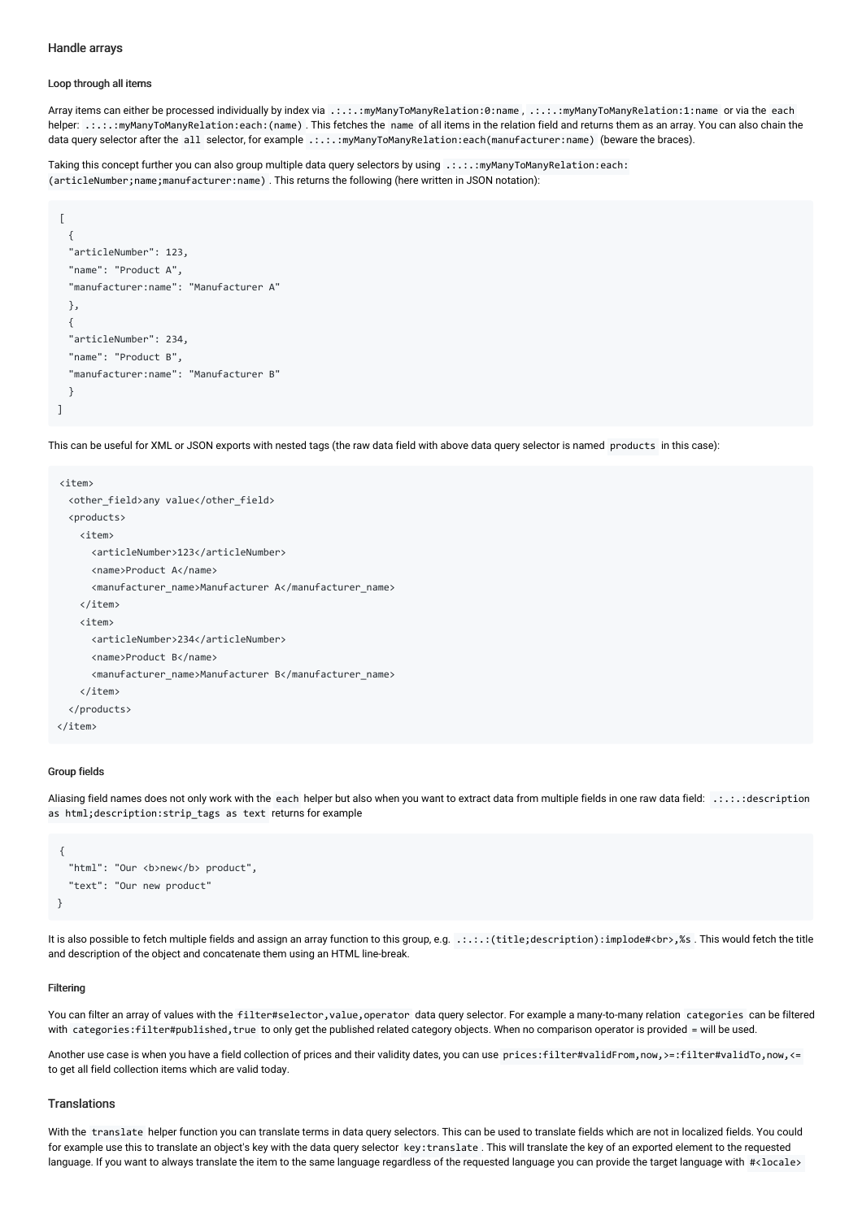#### Handle arrays

#### Loop through all items

Array items can either be processed individually by index via .:.:.:myManyToManyRelation:0:name , .:.:.:myManyToManyRelation:1:name or via the each helper: .:.:.:myManyToManyRelation:each:(name) . This fetches the name of all items in the relation field and returns them as an array. You can also chain the data query selector after the all selector, for example .:.:.: myManyToManyRelation:each(manufacturer:name) (beware the braces).

Taking this concept further you can also group multiple data query selectors by using .:.:.: myManyToManyRelation:each: (articleNumber;name;manufacturer:name) . This returns the following (here written in JSON notation):

```
[
  {
  "articleNumber": 123,
  "name": "Product A",
  "manufacturer:name": "Manufacturer A"
 },
  {
  "articleNumber": 234,
  "name": "Product B",
  "manufacturer:name": "Manufacturer B"
  }
]
```
This can be useful for XML or JSON exports with nested tags (the raw data field with above data query selector is named products in this case):

```
<item>
 <other_field>any value</other_field>
 <products>
   <item>
      <articleNumber>123</articleNumber>
     <name>Product A</name>
     <manufacturer_name>Manufacturer A</manufacturer_name>
   </item>
   <item>
     <articleNumber>234</articleNumber>
     <name>Product B</name>
      <manufacturer_name>Manufacturer B</manufacturer_name>
   </item>
 </products>
</item>
```
#### Group fields

Aliasing field names does not only work with the each helper but also when you want to extract data from multiple fields in one raw data field: .:.:.:description as html;description:strip\_tags as text returns for example

```
{
  "html": "Our <b>new</b> product",
  "text": "Our new product"
}
```
It is also possible to fetch multiple fields and assign an array function to this group, e.g. .:.:.:(title;description):implode#<br>,%s . This would fetch the title and description of the object and concatenate them using an HTML line-break.

#### Filtering

You can filter an array of values with the filter#selector, value, operator data query selector. For example a many-to-many relation categories can be filtered with categories:filter#published,true to only get the published related category objects. When no comparison operator is provided = will be used.

Another use case is when you have a field collection of prices and their validity dates, you can use prices:filter#validFrom,now,>=:filter#validTo,now,<= to get all field collection items which are valid today.

#### **Translations**

With the translate helper function you can translate terms in data query selectors. This can be used to translate fields which are not in localized fields. You could for example use this to translate an object's key with the data query selector key: translate . This will translate the key of an exported element to the requested language. If you want to always translate the item to the same language regardless of the requested language you can provide the target language with #<locale>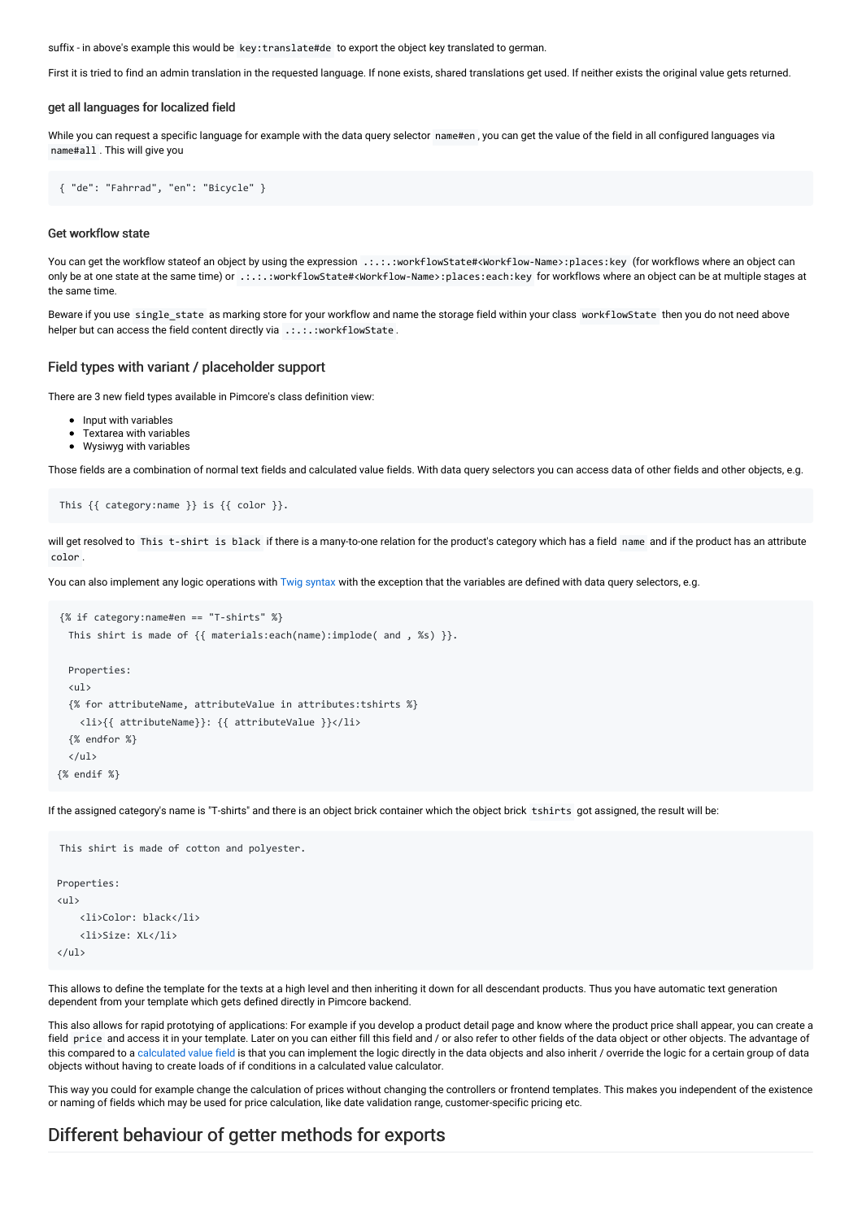suffix - in above's example this would be key:translate#de to export the object key translated to german.

First it is tried to find an admin translation in the requested language. If none exists, shared translations get used. If neither exists the original value gets returned.

#### get all languages for localized field

While you can request a specific language for example with the data query selector name#en, you can get the value of the field in all configured languages via name#all . This will give you

```
{ "de": "Fahrrad", "en": "Bicycle" }
```
#### Get workflow state

You can get the workflow stateof an object by using the expression .:.:.: workflowState#<Workflow-Name>:places:key (for workflows where an object can only be at one state at the same time) or .:.:.:workflowState#<Workflow-Name>:places:each:key for workflows where an object can be at multiple stages at the same time.

Beware if you use single state as marking store for your workflow and name the storage field within your class workflowState then you do not need above helper but can access the field content directly via .:.:.: workflowState.

#### Field types with variant / placeholder support

There are 3 new field types available in Pimcore's class definition view:

- Input with variables
- Textarea with variables
- Wysiwyg with variables

Those fields are a combination of normal text fields and calculated value fields. With data query selectors you can access data of other fields and other objects, e.g.

```
This {{ category:name }} is {{ color }}.
```
will get resolved to This t-shirt is black if there is a many-to-one relation for the product's category which has a field name and if the product has an attribute color .

You can also implement any logic operations with Twig [syntax](https://twig.symfony.com/doc/3.x/templates.html) with the exception that the variables are defined with data query selectors, e.g.

```
{% if category:name#en == "T-shirts" %}
 This shirt is made of {{ materials:each(name):implode( and , %s) }}.
 Properties:
 <ul>
 {% for attributeName, attributeValue in attributes:tshirts %}
   <li>{{ attributeName}}: {{ attributeValue }}</li>
 {% endfor %}
 \langle/ul>
{% endif %}
```
If the assigned category's name is "T-shirts" and there is an object brick container which the object brick tshirts got assigned, the result will be:

```
This shirt is made of cotton and polyester.
Properties:
\langle 113 \rangle<li>Color: black</li>
     <li>Size: XL</li>
\langle/ul>
```
This allows to define the template for the texts at a high level and then inheriting it down for all descendant products. Thus you have automatic text generation dependent from your template which gets defined directly in Pimcore backend.

This also allows for rapid prototying of applications: For example if you develop a product detail page and know where the product price shall appear, you can create a field price and access it in your template. Later on you can either fill this field and / or also refer to other fields of the data object or other objects. The advantage of this compared to a [calculated](https://pimcore.com/docs/pimcore/current/Development_Documentation/Objects/Object_Classes/Data_Types/Calculated_Value_Type.html) value field is that you can implement the logic directly in the data objects and also inherit / override the logic for a certain group of data objects without having to create loads of if conditions in a calculated value calculator.

This way you could for example change the calculation of prices without changing the controllers or frontend templates. This makes you independent of the existence or naming of fields which may be used for price calculation, like date validation range, customer-specific pricing etc.

### Different behaviour of getter methods for exports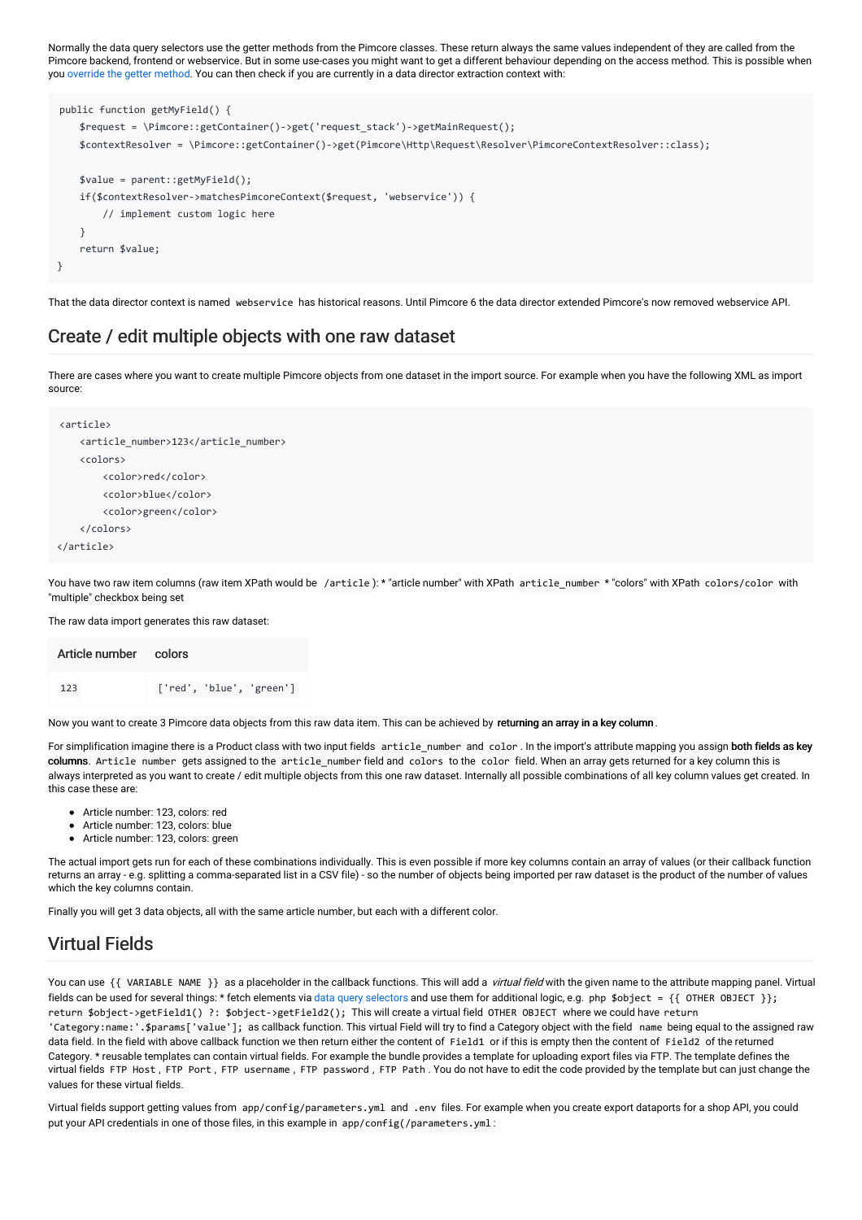Normally the data query selectors use the getter methods from the Pimcore classes. These return always the same values independent of they are called from the Pimcore backend, frontend or webservice. But in some use-cases you might want to get a different behaviour depending on the access method. This is possible when you [override](https://pimcore.com/docs/5.x/Development_Documentation/Extending_Pimcore/Overriding_Models.html) the getter method. You can then check if you are currently in a data director extraction context with:

```
public function getMyField() {
    $request = \Pimore::getContainer()->get('request stack')->getMainRequest(t);$contextResolver = \Pimcore::getContainer()->get(Pimcore\Http\Request\Resolver\PimcoreContextResolver::class);
   $value = parent::getMyField();
   if($contextResolver->matchesPimcoreContext($request, 'webservice')) {
        // implement custom logic here
   }
   return $value;
}
```
That the data director context is named webservice has historical reasons. Until Pimcore 6 the data director extended Pimcore's now removed webservice API.

### Create / edit multiple objects with one raw dataset

There are cases where you want to create multiple Pimcore objects from one dataset in the import source. For example when you have the following XML as import source:

```
<article>
   <article_number>123</article_number>
   <colors>
       <color>red</color>
        <color>blue</color>
        <color>green</color>
    </colors>
</article>
```
You have two raw item columns (raw item XPath would be /article ): \* "article number" with XPath article\_number \* "colors" with XPath colors/color with "multiple" checkbox being set

The raw data import generates this raw dataset:

| Article number colors |                          |
|-----------------------|--------------------------|
| 123                   | ['red', 'blue', 'green'] |

Now you want to create 3 Pimcore data objects from this raw data item. This can be achieved by returning an array in a key column.

For simplification imagine there is a Product class with two input fields article\_number and color . In the import's attribute mapping you assign both fields as key columns. Article number gets assigned to the article number field and colors to the color field. When an array gets returned for a key column this is always interpreted as you want to create / edit multiple objects from this one raw dataset. Internally all possible combinations of all key column values get created. In this case these are:

- Article number: 123, colors: red
- Article number: 123, colors: blue
- Article number: 123, colors: green

The actual import gets run for each of these combinations individually. This is even possible if more key columns contain an array of values (or their callback function returns an array - e.g. splitting a comma-separated list in a CSV file) - so the number of objects being imported per raw dataset is the product of the number of values which the key columns contain.

Finally you will get 3 data objects, all with the same article number, but each with a different color.

### Virtual Fields

You can use {{ VARIABLE NAME }} as a placeholder in the callback functions. This will add a *virtual field* with the given name to the attribute mapping panel. Virtual fields can be used for several things: \* fetch elements via data query [selectors](#page-18-0) and use them for additional logic, e.g. php \$object = {{ OTHER OBJECT }}; return \$object->getField1() ?: \$object->getField2(); This will create a virtual field OTHER OBJECT where we could have return 'Category:name:'.\$params['value']; as callback function. This virtual Field will try to find a Category object with the field name being equal to the assigned raw data field. In the field with above callback function we then return either the content of Field1 or if this is empty then the content of Field2 of the returned Category. \* reusable templates can contain virtual fields. For example the bundle provides a template for uploading export files via FTP. The template defines the virtual fields FTP Host , FTP Port , FTP username , FTP password , FTP Path . You do not have to edit the code provided by the template but can just change the values for these virtual fields.

Virtual fields support getting values from app/config/parameters.yml and .env files. For example when you create export dataports for a shop API, you could put your API credentials in one of those files, in this example in app/config(/parameters.yml: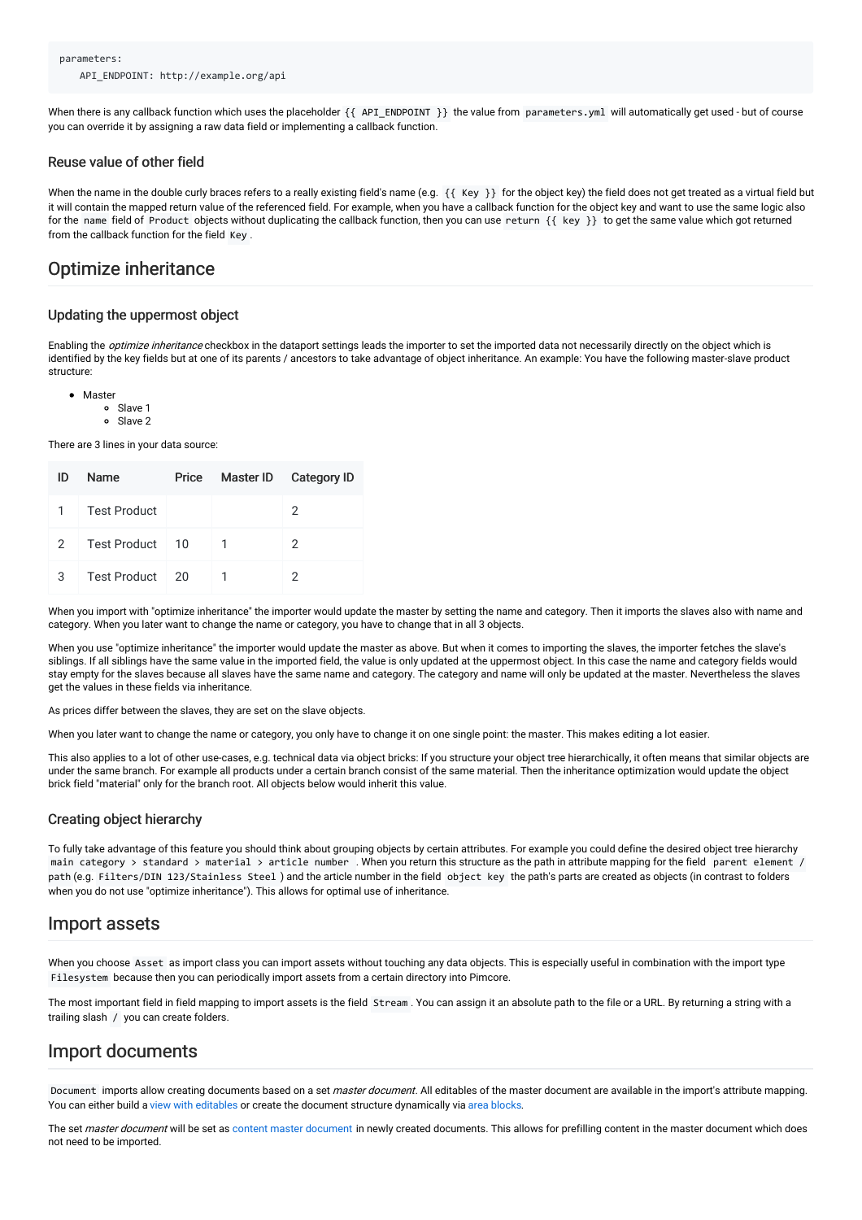When there is any callback function which uses the placeholder {{ API\_ENDPOINT }} the value from parameters.yml will automatically get used - but of course you can override it by assigning a raw data field or implementing a callback function.

#### Reuse value of other field

When the name in the double curly braces refers to a really existing field's name (e.g. { { Key }} for the object key) the field does not get treated as a virtual field but it will contain the mapped return value of the referenced field. For example, when you have a callback function for the object key and want to use the same logic also for the name field of Product objects without duplicating the callback function, then you can use return {{ key }} to get the same value which got returned from the callback function for the field Key .

### Optimize inheritance

#### Updating the uppermost object

Enabling the *optimize inheritance* checkbox in the dataport settings leads the importer to set the imported data not necessarily directly on the object which is identified by the key fields but at one of its parents / ancestors to take advantage of object inheritance. An example: You have the following master-slave product structure:

- Master
	- Slave 1
	- $\circ$ Slave 2

There are 3 lines in your data source:

| ID            | Name                | Price |   | Master ID Category ID |
|---------------|---------------------|-------|---|-----------------------|
| 1.            | <b>Test Product</b> |       |   | 2                     |
| $\mathcal{P}$ | Test Product 10     |       | 1 | $\mathcal{P}$         |
| 3             | Test Product 20     |       |   | 2                     |

When you import with "optimize inheritance" the importer would update the master by setting the name and category. Then it imports the slaves also with name and category. When you later want to change the name or category, you have to change that in all 3 objects.

When you use "optimize inheritance" the importer would update the master as above. But when it comes to importing the slaves, the importer fetches the slave's siblings. If all siblings have the same value in the imported field, the value is only updated at the uppermost object. In this case the name and category fields would stay empty for the slaves because all slaves have the same name and category. The category and name will only be updated at the master. Nevertheless the slaves get the values in these fields via inheritance.

As prices differ between the slaves, they are set on the slave objects.

When you later want to change the name or category, you only have to change it on one single point: the master. This makes editing a lot easier.

This also applies to a lot of other use-cases, e.g. technical data via object bricks: If you structure your object tree hierarchically, it often means that similar objects are under the same branch. For example all products under a certain branch consist of the same material. Then the inheritance optimization would update the object brick field "material" only for the branch root. All objects below would inherit this value.

#### Creating object hierarchy

To fully take advantage of this feature you should think about grouping objects by certain attributes. For example you could define the desired object tree hierarchy main category > standard > material > article number . When you return this structure as the path in attribute mapping for the field parent element / path (e.g. Filters/DIN 123/Stainless Steel ) and the article number in the field object key the path's parts are created as objects (in contrast to folders when you do not use "optimize inheritance"). This allows for optimal use of inheritance.

### Import assets

When you choose Asset as import class you can import assets without touching any data objects. This is especially useful in combination with the import type Filesystem because then you can periodically import assets from a certain directory into Pimcore.

The most important field in field mapping to import assets is the field Stream . You can assign it an absolute path to the file or a URL. By returning a string with a trailing slash / you can create folders.

### Import documents

Document imports allow creating documents based on a set *master document*. All editables of the master document are available in the import's attribute mapping. You can either build a view with [editables](https://pimcore.com/docs/latest/Development_Documentation/Documents/Editables/index.html) or create the document structure dynamically via area [blocks](https://pimcore.com/docs/latest/Development_Documentation/Documents/Editables/Areablock/index.html).

The set master [document](https://pimcore.com/docs/latest/Development_Documentation/Documents/Inheritance.html) will be set as content master document in newly created documents. This allows for prefilling content in the master document which does not need to be imported.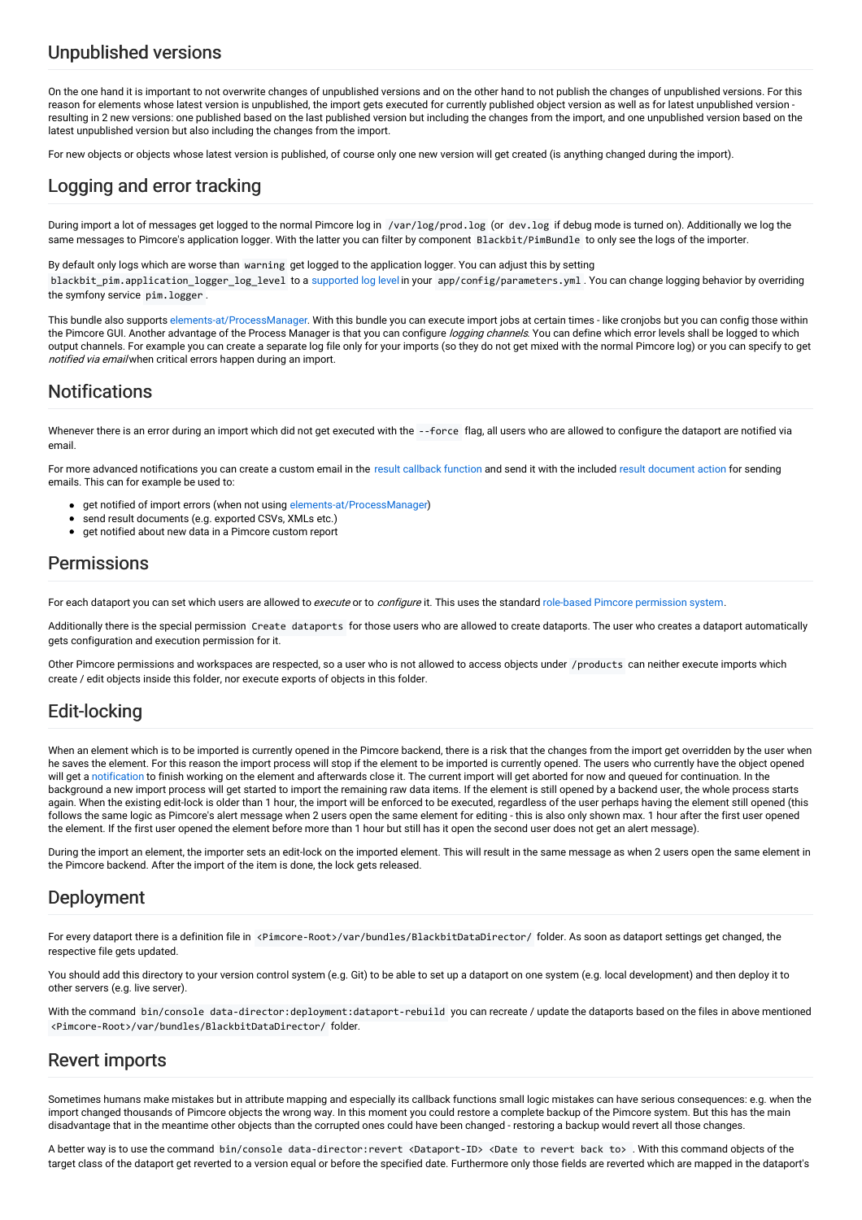# Unpublished versions

On the one hand it is important to not overwrite changes of unpublished versions and on the other hand to not publish the changes of unpublished versions. For this reason for elements whose latest version is unpublished, the import gets executed for currently published object version as well as for latest unpublished version resulting in 2 new versions: one published based on the last published version but including the changes from the import, and one unpublished version based on the latest unpublished version but also including the changes from the import.

For new objects or objects whose latest version is published, of course only one new version will get created (is anything changed during the import).

# Logging and error tracking

During import a lot of messages get logged to the normal Pimcore log in /var/log/prod.log (or dev.log if debug mode is turned on). Additionally we log the same messages to Pimcore's application logger. With the latter you can filter by component Blackbit/PimBundle to only see the logs of the importer.

By default only logs which are worse than warning get logged to the application logger. You can adjust this by setting blackbit\_pim.application\_logger\_log\_level to a [supported](https://seldaek.github.io/monolog/doc/01-usage.html#log-levels) log level in your app/config/parameters.yml . You can change logging behavior by overriding the symfony service pim.logger .

This bundle also supports [elements-at/ProcessManager](https://github.com/elements-at/ProcessManager). With this bundle you can execute import jobs at certain times - like cronjobs but you can config those within the Pimcore GUI. Another advantage of the Process Manager is that you can configure logging channels. You can define which error levels shall be logged to which output channels. For example you can create a separate log file only for your imports (so they do not get mixed with the normal Pimcore log) or you can specify to get notified via email when critical errors happen during an import.

## **Notifications**

Whenever there is an error during an import which did not get executed with the --force flag, all users who are allowed to configure the dataport are notified via email.

For more advanced notifications you can create a custom email in the result [callback](#page-25-1) function and send it with the included result document action for sending emails. This can for example be used to:

- **•** get notified of import errors (when not using [elements-at/ProcessManager](https://github.com/elements-at/ProcessManager))
- send result documents (e.g. exported CSVs, XMLs etc.)
- get notified about new data in a Pimcore custom report

### <span id="page-24-0"></span>**Permissions**

For each dataport you can set which users are allowed to *execute* or to *configure* it. This uses the standard role-based Pimcore [permission](https://pimcore.com/docs/pimcore/current/Development_Documentation/Administration_of_Pimcore/Users_and_Roles.html) system.

Additionally there is the special permission Create dataports for those users who are allowed to create dataports. The user who creates a dataport automatically gets configuration and execution permission for it.

Other Pimcore permissions and workspaces are respected, so a user who is not allowed to access objects under /products can neither execute imports which create / edit objects inside this folder, nor execute exports of objects in this folder.

# Edit-locking

When an element which is to be imported is currently opened in the Pimcore backend, there is a risk that the changes from the import get overridden by the user when he saves the element. For this reason the import process will stop if the element to be imported is currently opened. The users who currently have the object opened will get a [notification](https://pimcore.com/docs/pimcore/current/Development_Documentation/Tools_and_Features/Notifications.html) to finish working on the element and afterwards close it. The current import will get aborted for now and queued for continuation. In the background a new import process will get started to import the remaining raw data items. If the element is still opened by a backend user, the whole process starts again. When the existing edit-lock is older than 1 hour, the import will be enforced to be executed, regardless of the user perhaps having the element still opened (this follows the same logic as Pimcore's alert message when 2 users open the same element for editing - this is also only shown max. 1 hour after the first user opened the element. If the first user opened the element before more than 1 hour but still has it open the second user does not get an alert message).

During the import an element, the importer sets an edit-lock on the imported element. This will result in the same message as when 2 users open the same element in the Pimcore backend. After the import of the item is done, the lock gets released.

### Deployment

For every dataport there is a definition file in <Pimcore-Root>/var/bundles/BlackbitDataDirector/ folder. As soon as dataport settings get changed, the respective file gets updated.

You should add this directory to your version control system (e.g. Git) to be able to set up a dataport on one system (e.g. local development) and then deploy it to other servers (e.g. live server).

With the command bin/console data-director:deployment:dataport-rebuild you can recreate / update the dataports based on the files in above mentioned <Pimcore-Root>/var/bundles/BlackbitDataDirector/ folder.

# Revert imports

Sometimes humans make mistakes but in attribute mapping and especially its callback functions small logic mistakes can have serious consequences: e.g. when the import changed thousands of Pimcore objects the wrong way. In this moment you could restore a complete backup of the Pimcore system. But this has the main disadvantage that in the meantime other objects than the corrupted ones could have been changed - restoring a backup would revert all those changes.

A better way is to use the command bin/console data-director:revert <Dataport-ID> <Date to revert back to> . With this command objects of the target class of the dataport get reverted to a version equal or before the specified date. Furthermore only those fields are reverted which are mapped in the dataport's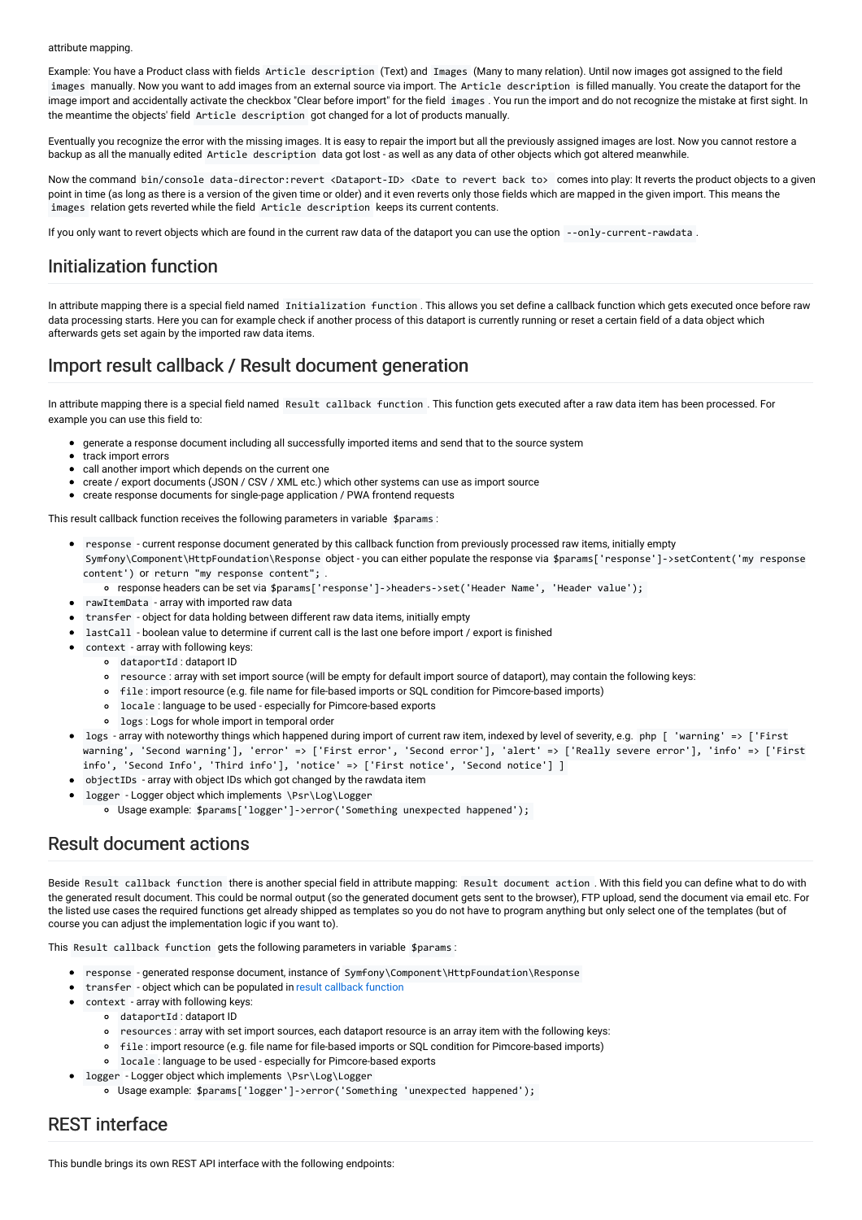#### attribute mapping.

Example: You have a Product class with fields Article description (Text) and Images (Many to many relation). Until now images got assigned to the field images manually. Now you want to add images from an external source via import. The Article description is filled manually. You create the dataport for the image import and accidentally activate the checkbox "Clear before import" for the field images . You run the import and do not recognize the mistake at first sight. In the meantime the objects' field Article description got changed for a lot of products manually.

Eventually you recognize the error with the missing images. It is easy to repair the import but all the previously assigned images are lost. Now you cannot restore a backup as all the manually edited Article description data got lost - as well as any data of other objects which got altered meanwhile.

Now the command bin/console data-director:revert <Dataport-ID> <Date to revert back to> comes into play: It reverts the product objects to a given point in time (as long as there is a version of the given time or older) and it even reverts only those fields which are mapped in the given import. This means the images relation gets reverted while the field Article description keeps its current contents.

If you only want to revert objects which are found in the current raw data of the dataport you can use the option --only-current-rawdata .

### Initialization function

In attribute mapping there is a special field named Initialization function . This allows you set define a callback function which gets executed once before raw data processing starts. Here you can for example check if another process of this dataport is currently running or reset a certain field of a data object which afterwards gets set again by the imported raw data items.

## <span id="page-25-1"></span>Import result callback / Result document generation

In attribute mapping there is a special field named Result callback function . This function gets executed after a raw data item has been processed. For example you can use this field to:

- generate a response document including all successfully imported items and send that to the source system
- track import errors
- call another import which depends on the current one
- create / export documents (JSON / CSV / XML etc.) which other systems can use as import source
- create response documents for single-page application / PWA frontend requests

This result callback function receives the following parameters in variable \$params :

- response current response document generated by this callback function from previously processed raw items, initially empty Symfony\Component\HttpFoundation\Response object - you can either populate the response via \$params['response']->setContent('my response content') or return "my response content"; .
	- response headers can be set via \$params['response']->headers->set('Header Name', 'Header value');
- rawItemData array with imported raw data
- transfer object for data holding between different raw data items, initially empty
- lastCall boolean value to determine if current call is the last one before import / export is finished
- context array with following keys:
	- dataportId : dataport ID
	- resource : array with set import source (will be empty for default import source of dataport), may contain the following keys:
	- file : import resource (e.g. file name for file-based imports or SQL condition for Pimcore-based imports)
	- locale : language to be used especially for Pimcore-based exports
	- logs : Logs for whole import in temporal order
- logs array with noteworthy things which happened during import of current raw item, indexed by level of severity, e.g. php [ 'warning' => ['First warning', 'Second warning'], 'error' => ['First error', 'Second error'], 'alert' => ['Really severe error'], 'info' => ['First info', 'Second Info', 'Third info'], 'notice' => ['First notice', 'Second notice'] ]
- objectIDs array with object IDs which got changed by the rawdata item
- logger Logger object which implements \Psr\Log\Logger
	- Usage example: \$params['logger']->error('Something unexpected happened');

### Result document actions

Beside Result callback function there is another special field in attribute mapping: Result document action . With this field you can define what to do with the generated result document. This could be normal output (so the generated document gets sent to the browser), FTP upload, send the document via email etc. For the listed use cases the required functions get already shipped as templates so you do not have to program anything but only select one of the templates (but of course you can adjust the implementation logic if you want to).

This Result callback function gets the following parameters in variable \$params :

- response generated response document, instance of Symfony\Component\HttpFoundation\Response
- transfer object which can be populated in result [callback](#page-25-1) function
- $\bullet$ context - array with following keys:
	- dataportId : dataport ID
	- resources : array with set import sources, each dataport resource is an array item with the following keys:
	- file : import resource (e.g. file name for file-based imports or SQL condition for Pimcore-based imports)
	- locale : language to be used especially for Pimcore-based exports
- logger Logger object which implements \Psr\Log\Logger
	- Usage example: \$params['logger']->error('Something 'unexpected happened');

### <span id="page-25-0"></span>REST interface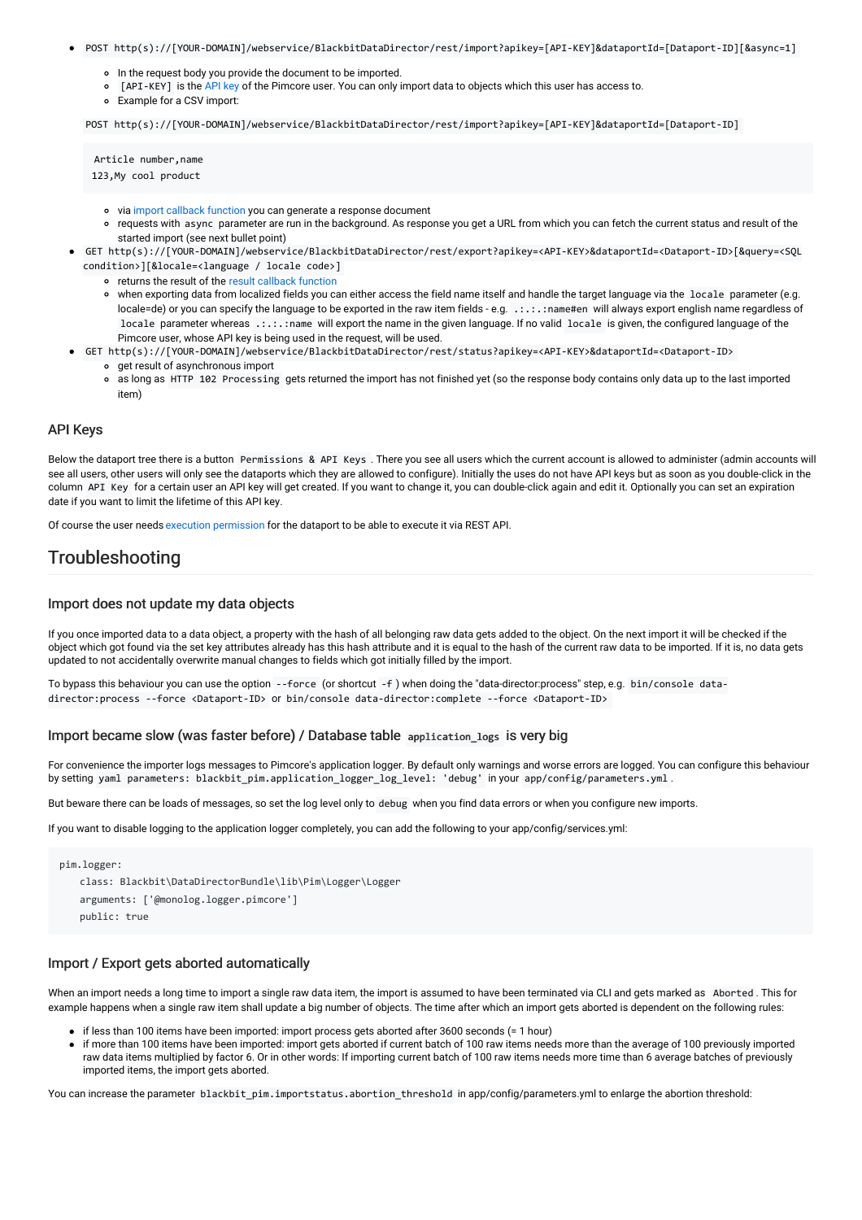- POST http(s)://[YOUR-DOMAIN]/webservice/BlackbitDataDirector/rest/import?apikey=[API-KEY]&dataportId=[Dataport-ID][&async=1]
	- o In the request body you provide the document to be imported.
	- [[API](#page-26-0)-KEY] is the API key of the Pimcore user. You can only import data to objects which this user has access to.
	- Example for a CSV import:

POST http(s)://[YOUR-DOMAIN]/webservice/BlackbitDataDirector/rest/import?apikey=[API-KEY]&dataportId=[Dataport-ID]

Article number,name 123,My cool product

- via import [callback](#page-25-1) function you can generate a response document
- requests with async parameter are run in the background. As response you get a URL from which you can fetch the current status and result of the started import (see next bullet point)
- GET http(s)://[YOUR-DOMAIN]/webservice/BlackbitDataDirector/rest/export?apikey=<API-KEY>&dataportId=<Dataport-ID>[&query=<SQL condition>][&locale=<language / locale code>]
	- returns the result of the result [callback](#page-25-1) function
	- when exporting data from localized fields you can either access the field name itself and handle the target language via the locale parameter (e.g. locale=de) or you can specify the language to be exported in the raw item fields - e.g. .:.:.: name#en will always export english name regardless of locale parameter whereas .:.:.:name will export the name in the given language. If no valid locale is given, the configured language of the Pimcore user, whose API key is being used in the request, will be used.
	- GET http(s)://[YOUR-DOMAIN]/webservice/BlackbitDataDirector/rest/status?apikey=<API-KEY>&dataportId=<Dataport-ID> get result of asynchronous import
		- as long as HTTP 102 Processing gets returned the import has not finished yet (so the response body contains only data up to the last imported item)

#### <span id="page-26-0"></span>API Keys

Below the dataport tree there is a button Permissions & API Keys . There you see all users which the current account is allowed to administer (admin accounts will see all users, other users will only see the dataports which they are allowed to configure). Initially the uses do not have API keys but as soon as you double-click in the column API Key for a certain user an API key will get created. If you want to change it, you can double-click again and edit it. Optionally you can set an expiration date if you want to limit the lifetime of this API key.

Of course the user needs execution [permission](#page-24-0) for the dataport to be able to execute it via REST API.

### Troubleshooting

#### Import does not update my data objects

If you once imported data to a data object, a property with the hash of all belonging raw data gets added to the object. On the next import it will be checked if the object which got found via the set key attributes already has this hash attribute and it is equal to the hash of the current raw data to be imported. If it is, no data gets updated to not accidentally overwrite manual changes to fields which got initially filled by the import.

To bypass this behaviour you can use the option --force (or shortcut -f ) when doing the "data-director:process" step, e.g. bin/console datadirector:process --force <Dataport-ID> or bin/console data-director:complete --force <Dataport-ID>

#### Import became slow (was faster before) / Database table application\_logs is very big

For convenience the importer logs messages to Pimcore's application logger. By default only warnings and worse errors are logged. You can configure this behaviour by setting yaml parameters: blackbit\_pim.application\_logger\_log\_level: 'debug' in your app/config/parameters.yml .

But beware there can be loads of messages, so set the log level only to debug when you find data errors or when you configure new imports.

If you want to disable logging to the application logger completely, you can add the following to your app/config/services.yml:

```
pim.logger:
   class: Blackbit\DataDirectorBundle\lib\Pim\Logger\Logger
   arguments: ['@monolog.logger.pimcore']
   public: true
```
#### Import / Export gets aborted automatically

When an import needs a long time to import a single raw data item, the import is assumed to have been terminated via CLI and gets marked as Aborted . This for example happens when a single raw item shall update a big number of objects. The time after which an import gets aborted is dependent on the following rules:

- if less than 100 items have been imported: import process gets aborted after 3600 seconds (= 1 hour)
- if more than 100 items have been imported: import gets aborted if current batch of 100 raw items needs more than the average of 100 previously imported raw data items multiplied by factor 6. Or in other words: If importing current batch of 100 raw items needs more time than 6 average batches of previously imported items, the import gets aborted.

You can increase the parameter blackbit\_pim.importstatus.abortion\_threshold in app/config/parameters.yml to enlarge the abortion threshold: